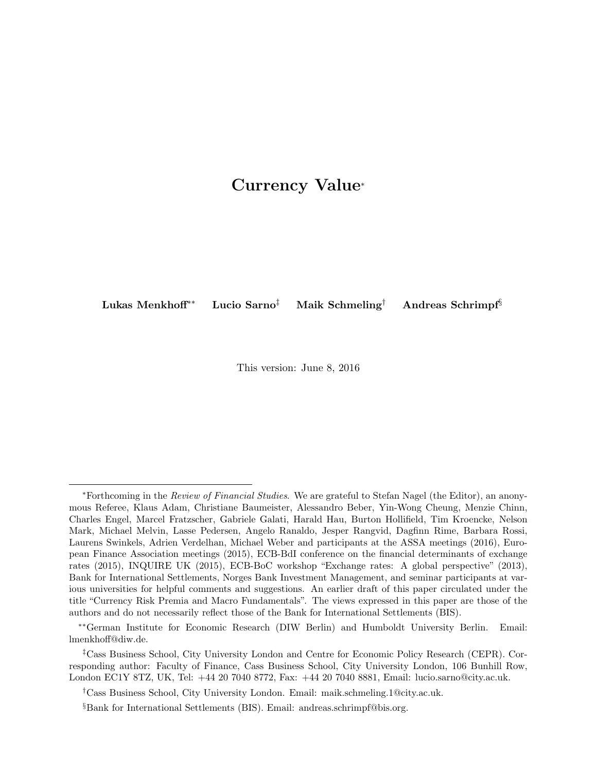### Currency Value[∗](#page-0-0)

Lukas Menkhoff[∗∗](#page-0-1) Lucio Sarno[‡](#page-0-2) Maik Schmeling[†](#page-0-3) Andreas Schrimpf[§](#page-0-4)

This version: June 8, 2016

<span id="page-0-0"></span><sup>∗</sup>Forthcoming in the Review of Financial Studies. We are grateful to Stefan Nagel (the Editor), an anonymous Referee, Klaus Adam, Christiane Baumeister, Alessandro Beber, Yin-Wong Cheung, Menzie Chinn, Charles Engel, Marcel Fratzscher, Gabriele Galati, Harald Hau, Burton Hollifield, Tim Kroencke, Nelson Mark, Michael Melvin, Lasse Pedersen, Angelo Ranaldo, Jesper Rangvid, Dagfinn Rime, Barbara Rossi, Laurens Swinkels, Adrien Verdelhan, Michael Weber and participants at the ASSA meetings (2016), European Finance Association meetings (2015), ECB-BdI conference on the financial determinants of exchange rates (2015), INQUIRE UK (2015), ECB-BoC workshop "Exchange rates: A global perspective" (2013), Bank for International Settlements, Norges Bank Investment Management, and seminar participants at various universities for helpful comments and suggestions. An earlier draft of this paper circulated under the title "Currency Risk Premia and Macro Fundamentals". The views expressed in this paper are those of the authors and do not necessarily reflect those of the Bank for International Settlements (BIS).

<span id="page-0-1"></span><sup>∗∗</sup>German Institute for Economic Research (DIW Berlin) and Humboldt University Berlin. Email: lmenkhoff@diw.de.

<span id="page-0-2"></span><sup>‡</sup>Cass Business School, City University London and Centre for Economic Policy Research (CEPR). Corresponding author: Faculty of Finance, Cass Business School, City University London, 106 Bunhill Row, London EC1Y 8TZ, UK, Tel: +44 20 7040 8772, Fax: +44 20 7040 8881, Email: lucio.sarno@city.ac.uk.

<span id="page-0-3"></span><sup>†</sup>Cass Business School, City University London. Email: maik.schmeling.1@city.ac.uk.

<span id="page-0-4"></span><sup>§</sup>Bank for International Settlements (BIS). Email: andreas.schrimpf@bis.org.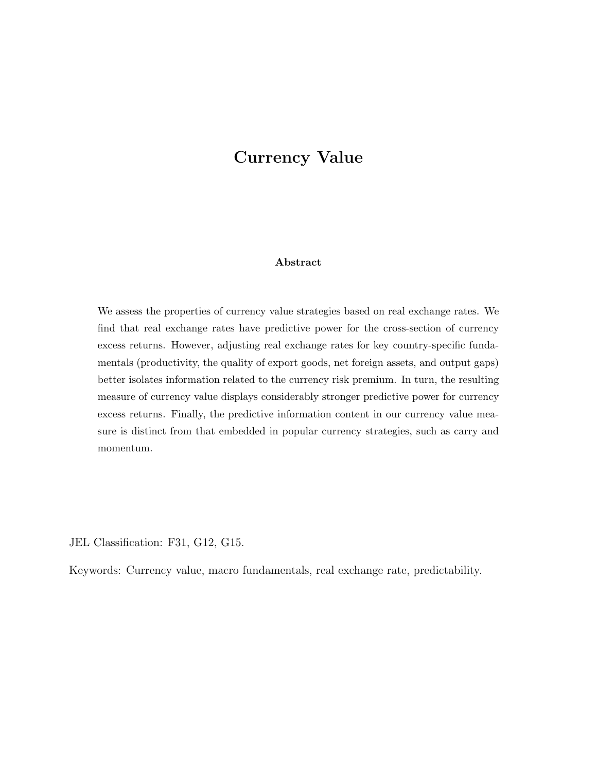## Currency Value

#### Abstract

We assess the properties of currency value strategies based on real exchange rates. We find that real exchange rates have predictive power for the cross-section of currency excess returns. However, adjusting real exchange rates for key country-specific fundamentals (productivity, the quality of export goods, net foreign assets, and output gaps) better isolates information related to the currency risk premium. In turn, the resulting measure of currency value displays considerably stronger predictive power for currency excess returns. Finally, the predictive information content in our currency value measure is distinct from that embedded in popular currency strategies, such as carry and momentum.

JEL Classification: F31, G12, G15.

Keywords: Currency value, macro fundamentals, real exchange rate, predictability.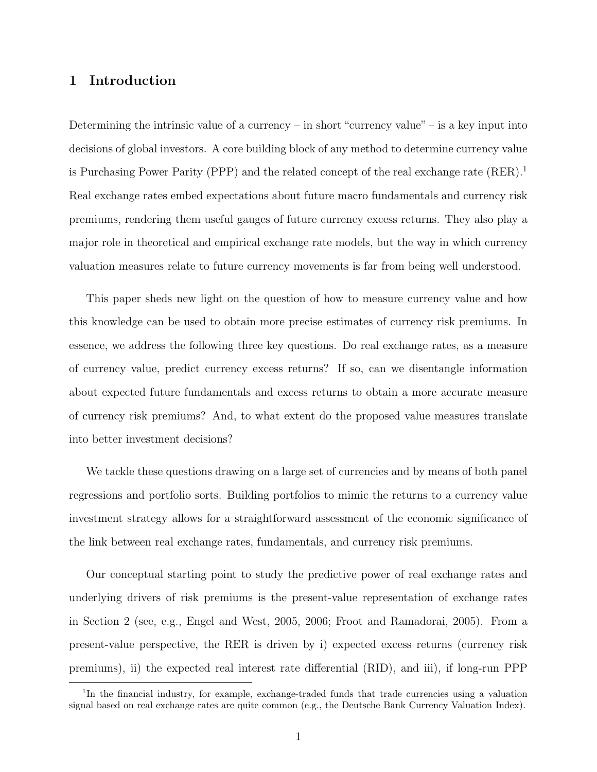#### 1 Introduction

Determining the intrinsic value of a currency – in short "currency value" – is a key input into decisions of global investors. A core building block of any method to determine currency value is Purchasing Power Parity (PPP) and the related concept of the real exchange rate  $(RER)^{1}$  $(RER)^{1}$  $(RER)^{1}$ Real exchange rates embed expectations about future macro fundamentals and currency risk premiums, rendering them useful gauges of future currency excess returns. They also play a major role in theoretical and empirical exchange rate models, but the way in which currency valuation measures relate to future currency movements is far from being well understood.

This paper sheds new light on the question of how to measure currency value and how this knowledge can be used to obtain more precise estimates of currency risk premiums. In essence, we address the following three key questions. Do real exchange rates, as a measure of currency value, predict currency excess returns? If so, can we disentangle information about expected future fundamentals and excess returns to obtain a more accurate measure of currency risk premiums? And, to what extent do the proposed value measures translate into better investment decisions?

We tackle these questions drawing on a large set of currencies and by means of both panel regressions and portfolio sorts. Building portfolios to mimic the returns to a currency value investment strategy allows for a straightforward assessment of the economic significance of the link between real exchange rates, fundamentals, and currency risk premiums.

Our conceptual starting point to study the predictive power of real exchange rates and underlying drivers of risk premiums is the present-value representation of exchange rates in Section 2 (see, e.g., [Engel and West,](#page-27-0) [2005,](#page-27-0) [2006;](#page-27-1) [Froot and Ramadorai,](#page-28-0) [2005\)](#page-28-0). From a present-value perspective, the RER is driven by i) expected excess returns (currency risk premiums), ii) the expected real interest rate differential (RID), and iii), if long-run PPP

<span id="page-2-0"></span><sup>&</sup>lt;sup>1</sup>In the financial industry, for example, exchange-traded funds that trade currencies using a valuation signal based on real exchange rates are quite common (e.g., the Deutsche Bank Currency Valuation Index).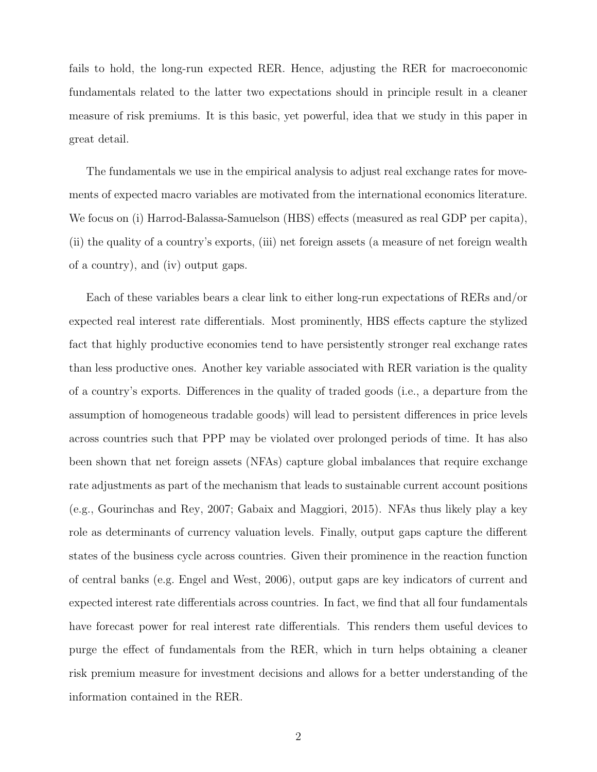fails to hold, the long-run expected RER. Hence, adjusting the RER for macroeconomic fundamentals related to the latter two expectations should in principle result in a cleaner measure of risk premiums. It is this basic, yet powerful, idea that we study in this paper in great detail.

The fundamentals we use in the empirical analysis to adjust real exchange rates for movements of expected macro variables are motivated from the international economics literature. We focus on (i) Harrod-Balassa-Samuelson (HBS) effects (measured as real GDP per capita), (ii) the quality of a country's exports, (iii) net foreign assets (a measure of net foreign wealth of a country), and (iv) output gaps.

Each of these variables bears a clear link to either long-run expectations of RERs and/or expected real interest rate differentials. Most prominently, HBS effects capture the stylized fact that highly productive economies tend to have persistently stronger real exchange rates than less productive ones. Another key variable associated with RER variation is the quality of a country's exports. Differences in the quality of traded goods (i.e., a departure from the assumption of homogeneous tradable goods) will lead to persistent differences in price levels across countries such that PPP may be violated over prolonged periods of time. It has also been shown that net foreign assets (NFAs) capture global imbalances that require exchange rate adjustments as part of the mechanism that leads to sustainable current account positions (e.g., [Gourinchas and Rey,](#page-28-1) [2007;](#page-28-1) [Gabaix and Maggiori,](#page-28-2) [2015\)](#page-28-2). NFAs thus likely play a key role as determinants of currency valuation levels. Finally, output gaps capture the different states of the business cycle across countries. Given their prominence in the reaction function of central banks (e.g. [Engel and West,](#page-27-1) [2006\)](#page-27-1), output gaps are key indicators of current and expected interest rate differentials across countries. In fact, we find that all four fundamentals have forecast power for real interest rate differentials. This renders them useful devices to purge the effect of fundamentals from the RER, which in turn helps obtaining a cleaner risk premium measure for investment decisions and allows for a better understanding of the information contained in the RER.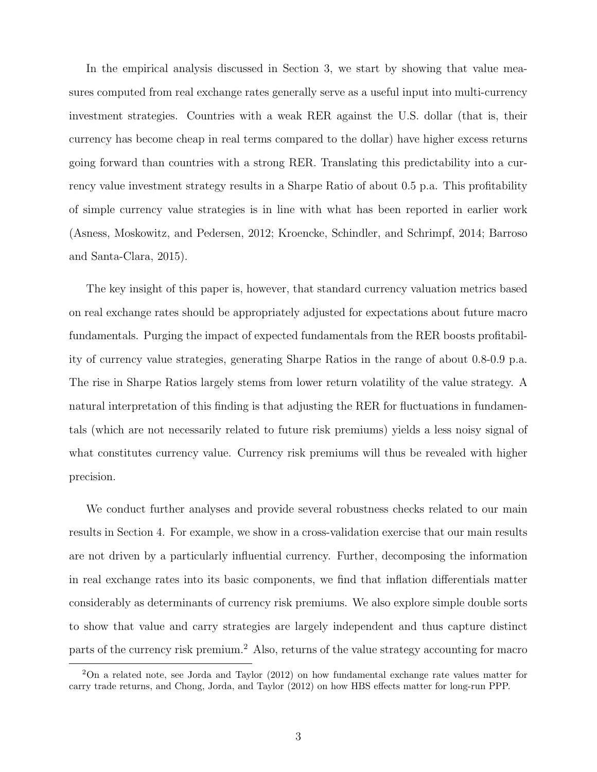In the empirical analysis discussed in Section 3, we start by showing that value measures computed from real exchange rates generally serve as a useful input into multi-currency investment strategies. Countries with a weak RER against the U.S. dollar (that is, their currency has become cheap in real terms compared to the dollar) have higher excess returns going forward than countries with a strong RER. Translating this predictability into a currency value investment strategy results in a Sharpe Ratio of about 0.5 p.a. This profitability of simple currency value strategies is in line with what has been reported in earlier work [\(Asness, Moskowitz, and Pedersen,](#page-27-2) [2012;](#page-27-2) [Kroencke, Schindler, and Schrimpf,](#page-28-3) [2014;](#page-28-3) [Barroso](#page-27-3) [and Santa-Clara,](#page-27-3) [2015\)](#page-27-3).

The key insight of this paper is, however, that standard currency valuation metrics based on real exchange rates should be appropriately adjusted for expectations about future macro fundamentals. Purging the impact of expected fundamentals from the RER boosts profitability of currency value strategies, generating Sharpe Ratios in the range of about 0.8-0.9 p.a. The rise in Sharpe Ratios largely stems from lower return volatility of the value strategy. A natural interpretation of this finding is that adjusting the RER for fluctuations in fundamentals (which are not necessarily related to future risk premiums) yields a less noisy signal of what constitutes currency value. Currency risk premiums will thus be revealed with higher precision.

We conduct further analyses and provide several robustness checks related to our main results in Section 4. For example, we show in a cross-validation exercise that our main results are not driven by a particularly influential currency. Further, decomposing the information in real exchange rates into its basic components, we find that inflation differentials matter considerably as determinants of currency risk premiums. We also explore simple double sorts to show that value and carry strategies are largely independent and thus capture distinct parts of the currency risk premium.[2](#page-4-0) Also, returns of the value strategy accounting for macro

<span id="page-4-0"></span><sup>2</sup>On a related note, see [Jorda and Taylor](#page-28-4) [\(2012\)](#page-28-4) on how fundamental exchange rate values matter for carry trade returns, and [Chong, Jorda, and Taylor](#page-27-4) [\(2012\)](#page-27-4) on how HBS effects matter for long-run PPP.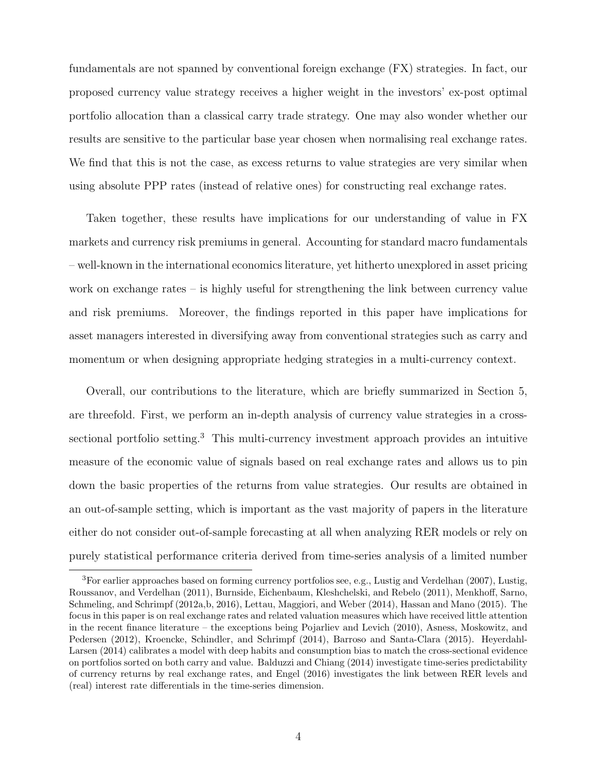fundamentals are not spanned by conventional foreign exchange (FX) strategies. In fact, our proposed currency value strategy receives a higher weight in the investors' ex-post optimal portfolio allocation than a classical carry trade strategy. One may also wonder whether our results are sensitive to the particular base year chosen when normalising real exchange rates. We find that this is not the case, as excess returns to value strategies are very similar when using absolute PPP rates (instead of relative ones) for constructing real exchange rates.

Taken together, these results have implications for our understanding of value in FX markets and currency risk premiums in general. Accounting for standard macro fundamentals – well-known in the international economics literature, yet hitherto unexplored in asset pricing work on exchange rates – is highly useful for strengthening the link between currency value and risk premiums. Moreover, the findings reported in this paper have implications for asset managers interested in diversifying away from conventional strategies such as carry and momentum or when designing appropriate hedging strategies in a multi-currency context.

Overall, our contributions to the literature, which are briefly summarized in Section 5, are threefold. First, we perform an in-depth analysis of currency value strategies in a cross-sectional portfolio setting.<sup>[3](#page-5-0)</sup> This multi-currency investment approach provides an intuitive measure of the economic value of signals based on real exchange rates and allows us to pin down the basic properties of the returns from value strategies. Our results are obtained in an out-of-sample setting, which is important as the vast majority of papers in the literature either do not consider out-of-sample forecasting at all when analyzing RER models or rely on purely statistical performance criteria derived from time-series analysis of a limited number

<span id="page-5-0"></span><sup>3</sup>For earlier approaches based on forming currency portfolios see, e.g., [Lustig and Verdelhan](#page-29-0) [\(2007\)](#page-29-0), [Lustig,](#page-29-1) [Roussanov, and Verdelhan](#page-29-1) [\(2011\)](#page-29-1), [Burnside, Eichenbaum, Kleshchelski, and Rebelo](#page-27-5) [\(2011\)](#page-27-5), [Menkhoff, Sarno,](#page-29-2) [Schmeling, and Schrimpf](#page-29-2) [\(2012a](#page-29-2)[,b,](#page-29-3) [2016\)](#page-29-4), [Lettau, Maggiori, and Weber](#page-29-5) [\(2014\)](#page-29-5), [Hassan and Mano](#page-28-5) [\(2015\)](#page-28-5). The focus in this paper is on real exchange rates and related valuation measures which have received little attention in the recent finance literature – the exceptions being [Pojarliev and Levich](#page-29-6) [\(2010\)](#page-29-6), [Asness, Moskowitz, and](#page-27-2) [Pedersen](#page-27-2) [\(2012\)](#page-27-2), [Kroencke, Schindler, and Schrimpf](#page-28-3) [\(2014\)](#page-28-3), [Barroso and Santa-Clara](#page-27-3) [\(2015\)](#page-27-3). [Heyerdahl-](#page-28-6)[Larsen](#page-28-6) [\(2014\)](#page-28-6) calibrates a model with deep habits and consumption bias to match the cross-sectional evidence on portfolios sorted on both carry and value. [Balduzzi and Chiang](#page-27-6) [\(2014\)](#page-27-6) investigate time-series predictability of currency returns by real exchange rates, and [Engel](#page-27-7) [\(2016\)](#page-27-7) investigates the link between RER levels and (real) interest rate differentials in the time-series dimension.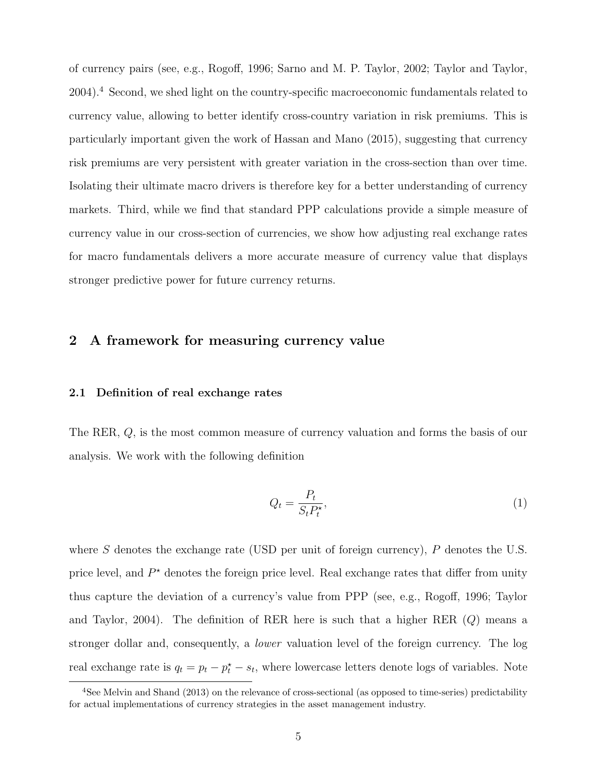of currency pairs (see, e.g., [Rogoff,](#page-29-7) [1996;](#page-29-7) [Sarno and M. P. Taylor,](#page-29-8) [2002;](#page-29-8) [Taylor and Taylor,](#page-30-0) [2004\)](#page-30-0).[4](#page-6-0) Second, we shed light on the country-specific macroeconomic fundamentals related to currency value, allowing to better identify cross-country variation in risk premiums. This is particularly important given the work of [Hassan and Mano](#page-28-5) [\(2015\)](#page-28-5), suggesting that currency risk premiums are very persistent with greater variation in the cross-section than over time. Isolating their ultimate macro drivers is therefore key for a better understanding of currency markets. Third, while we find that standard PPP calculations provide a simple measure of currency value in our cross-section of currencies, we show how adjusting real exchange rates for macro fundamentals delivers a more accurate measure of currency value that displays stronger predictive power for future currency returns.

#### 2 A framework for measuring currency value

#### 2.1 Definition of real exchange rates

The RER, Q, is the most common measure of currency valuation and forms the basis of our analysis. We work with the following definition

$$
Q_t = \frac{P_t}{S_t P_t^*},\tag{1}
$$

where  $S$  denotes the exchange rate (USD per unit of foreign currency),  $P$  denotes the U.S. price level, and  $P^*$  denotes the foreign price level. Real exchange rates that differ from unity thus capture the deviation of a currency's value from PPP (see, e.g., [Rogoff,](#page-29-7) [1996;](#page-29-7) [Taylor](#page-30-0) [and Taylor,](#page-30-0) [2004\)](#page-30-0). The definition of RER here is such that a higher RER (Q) means a stronger dollar and, consequently, a lower valuation level of the foreign currency. The log real exchange rate is  $q_t = p_t - p_t^* - s_t$ , where lowercase letters denote logs of variables. Note

<span id="page-6-0"></span><sup>4</sup>See [Melvin and Shand](#page-29-9) [\(2013\)](#page-29-9) on the relevance of cross-sectional (as opposed to time-series) predictability for actual implementations of currency strategies in the asset management industry.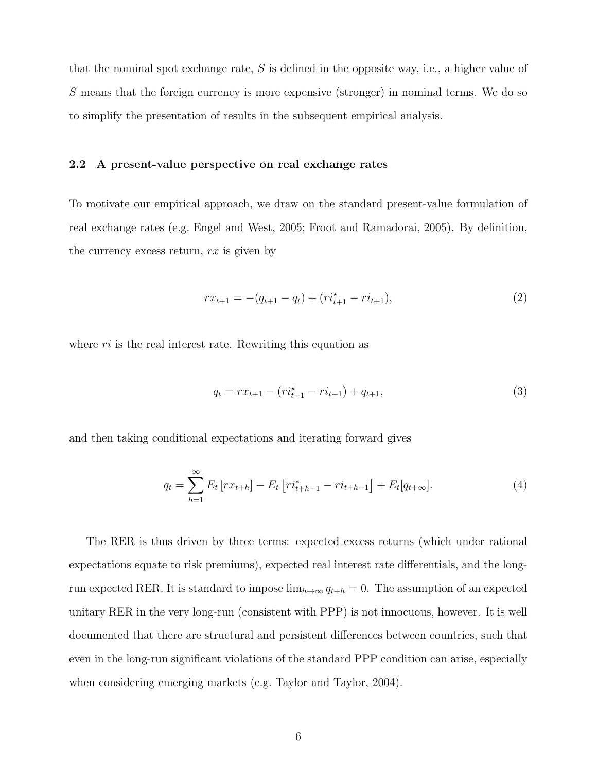that the nominal spot exchange rate,  $S$  is defined in the opposite way, i.e., a higher value of S means that the foreign currency is more expensive (stronger) in nominal terms. We do so to simplify the presentation of results in the subsequent empirical analysis.

#### 2.2 A present-value perspective on real exchange rates

To motivate our empirical approach, we draw on the standard present-value formulation of real exchange rates (e.g. [Engel and West,](#page-27-0) [2005;](#page-27-0) [Froot and Ramadorai,](#page-28-0) [2005\)](#page-28-0). By definition, the currency excess return,  $rx$  is given by

$$
rx_{t+1} = -(q_{t+1} - q_t) + (ri_{t+1}^* - ri_{t+1}),
$$
\n(2)

where  $ri$  is the real interest rate. Rewriting this equation as

$$
q_t = rx_{t+1} - (ri_{t+1}^* - ri_{t+1}) + q_{t+1},
$$
\n(3)

and then taking conditional expectations and iterating forward gives

<span id="page-7-0"></span>
$$
q_t = \sum_{h=1}^{\infty} E_t \left[ rx_{t+h} \right] - E_t \left[ r i_{t+h-1}^* - r i_{t+h-1} \right] + E_t [q_{t+\infty}]. \tag{4}
$$

The RER is thus driven by three terms: expected excess returns (which under rational expectations equate to risk premiums), expected real interest rate differentials, and the longrun expected RER. It is standard to impose  $\lim_{h\to\infty} q_{t+h} = 0$ . The assumption of an expected unitary RER in the very long-run (consistent with PPP) is not innocuous, however. It is well documented that there are structural and persistent differences between countries, such that even in the long-run significant violations of the standard PPP condition can arise, especially when considering emerging markets (e.g. [Taylor and Taylor,](#page-30-0) [2004\)](#page-30-0).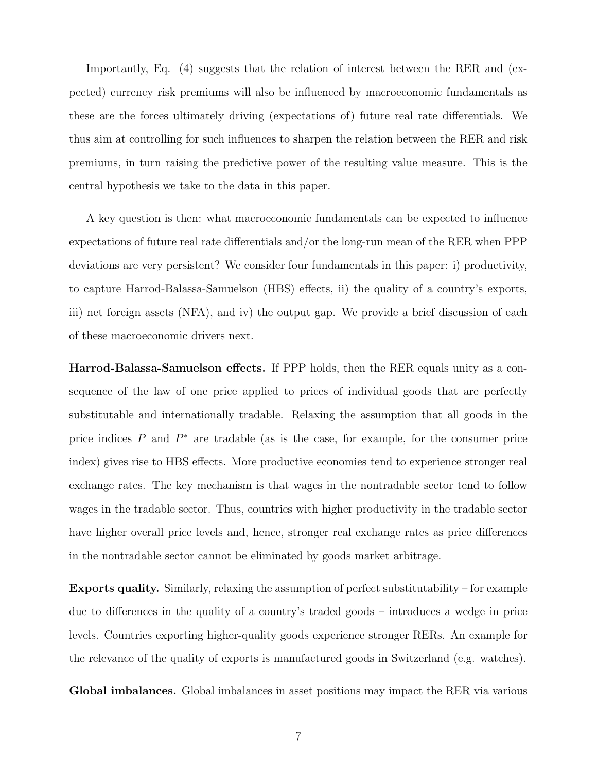Importantly, Eq. (4) suggests that the relation of interest between the RER and (expected) currency risk premiums will also be influenced by macroeconomic fundamentals as these are the forces ultimately driving (expectations of) future real rate differentials. We thus aim at controlling for such influences to sharpen the relation between the RER and risk premiums, in turn raising the predictive power of the resulting value measure. This is the central hypothesis we take to the data in this paper.

A key question is then: what macroeconomic fundamentals can be expected to influence expectations of future real rate differentials and/or the long-run mean of the RER when PPP deviations are very persistent? We consider four fundamentals in this paper: i) productivity, to capture Harrod-Balassa-Samuelson (HBS) effects, ii) the quality of a country's exports, iii) net foreign assets (NFA), and iv) the output gap. We provide a brief discussion of each of these macroeconomic drivers next.

Harrod-Balassa-Samuelson effects. If PPP holds, then the RER equals unity as a consequence of the law of one price applied to prices of individual goods that are perfectly substitutable and internationally tradable. Relaxing the assumption that all goods in the price indices  $P$  and  $P^*$  are tradable (as is the case, for example, for the consumer price index) gives rise to HBS effects. More productive economies tend to experience stronger real exchange rates. The key mechanism is that wages in the nontradable sector tend to follow wages in the tradable sector. Thus, countries with higher productivity in the tradable sector have higher overall price levels and, hence, stronger real exchange rates as price differences in the nontradable sector cannot be eliminated by goods market arbitrage.

Exports quality. Similarly, relaxing the assumption of perfect substitutability – for example due to differences in the quality of a country's traded goods – introduces a wedge in price levels. Countries exporting higher-quality goods experience stronger RERs. An example for the relevance of the quality of exports is manufactured goods in Switzerland (e.g. watches).

Global imbalances. Global imbalances in asset positions may impact the RER via various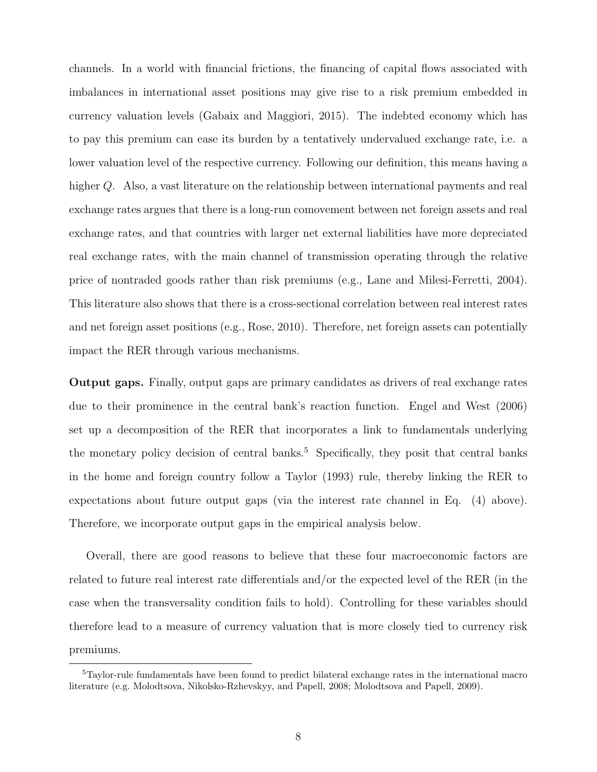channels. In a world with financial frictions, the financing of capital flows associated with imbalances in international asset positions may give rise to a risk premium embedded in currency valuation levels [\(Gabaix and Maggiori,](#page-28-2) [2015\)](#page-28-2). The indebted economy which has to pay this premium can ease its burden by a tentatively undervalued exchange rate, i.e. a lower valuation level of the respective currency. Following our definition, this means having a higher Q. Also, a vast literature on the relationship between international payments and real exchange rates argues that there is a long-run comovement between net foreign assets and real exchange rates, and that countries with larger net external liabilities have more depreciated real exchange rates, with the main channel of transmission operating through the relative price of nontraded goods rather than risk premiums (e.g., [Lane and Milesi-Ferretti,](#page-28-7) [2004\)](#page-28-7). This literature also shows that there is a cross-sectional correlation between real interest rates and net foreign asset positions (e.g., [Rose,](#page-29-10) [2010\)](#page-29-10). Therefore, net foreign assets can potentially impact the RER through various mechanisms.

Output gaps. Finally, output gaps are primary candidates as drivers of real exchange rates due to their prominence in the central bank's reaction function. [Engel and West](#page-27-1) [\(2006\)](#page-27-1) set up a decomposition of the RER that incorporates a link to fundamentals underlying the monetary policy decision of central banks.<sup>[5](#page-9-0)</sup> Specifically, they posit that central banks in the home and foreign country follow a [Taylor](#page-30-1) [\(1993\)](#page-30-1) rule, thereby linking the RER to expectations about future output gaps (via the interest rate channel in Eq. [\(4\)](#page-7-0) above). Therefore, we incorporate output gaps in the empirical analysis below.

Overall, there are good reasons to believe that these four macroeconomic factors are related to future real interest rate differentials and/or the expected level of the RER (in the case when the transversality condition fails to hold). Controlling for these variables should therefore lead to a measure of currency valuation that is more closely tied to currency risk premiums.

<span id="page-9-0"></span><sup>5</sup>Taylor-rule fundamentals have been found to predict bilateral exchange rates in the international macro literature (e.g. [Molodtsova, Nikolsko-Rzhevskyy, and Papell,](#page-29-11) [2008;](#page-29-11) [Molodtsova and Papell,](#page-29-12) [2009\)](#page-29-12).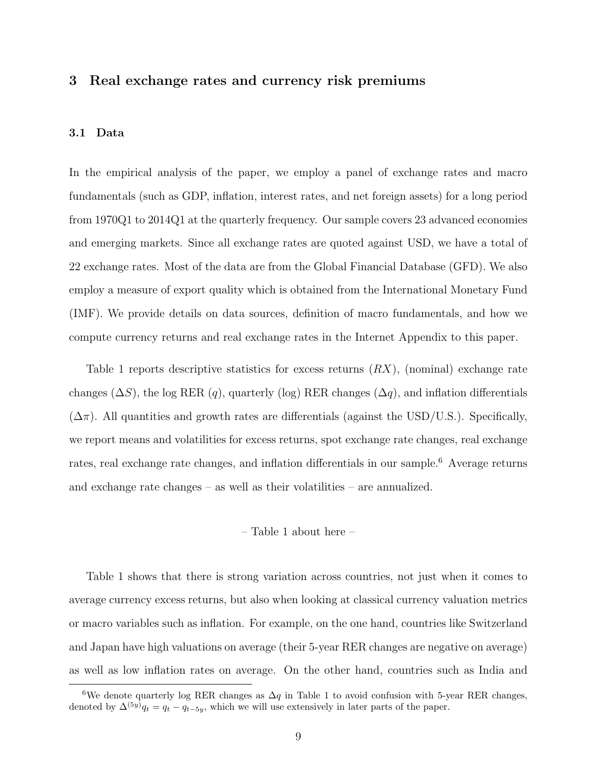#### 3 Real exchange rates and currency risk premiums

#### 3.1 Data

In the empirical analysis of the paper, we employ a panel of exchange rates and macro fundamentals (such as GDP, inflation, interest rates, and net foreign assets) for a long period from 1970Q1 to 2014Q1 at the quarterly frequency. Our sample covers 23 advanced economies and emerging markets. Since all exchange rates are quoted against USD, we have a total of 22 exchange rates. Most of the data are from the Global Financial Database (GFD). We also employ a measure of export quality which is obtained from the International Monetary Fund (IMF). We provide details on data sources, definition of macro fundamentals, and how we compute currency returns and real exchange rates in the Internet Appendix to this paper.

Table [1](#page-31-0) reports descriptive statistics for excess returns  $(RX)$ , (nominal) exchange rate changes ( $\Delta S$ ), the log RER (q), quarterly (log) RER changes ( $\Delta q$ ), and inflation differentials  $(\Delta \pi)$ . All quantities and growth rates are differentials (against the USD/U.S.). Specifically, we report means and volatilities for excess returns, spot exchange rate changes, real exchange rates, real exchange rate changes, and inflation differentials in our sample.<sup>[6](#page-10-0)</sup> Average returns and exchange rate changes – as well as their volatilities – are annualized.

#### – Table [1](#page-31-0) about here –

Table [1](#page-31-0) shows that there is strong variation across countries, not just when it comes to average currency excess returns, but also when looking at classical currency valuation metrics or macro variables such as inflation. For example, on the one hand, countries like Switzerland and Japan have high valuations on average (their 5-year RER changes are negative on average) as well as low inflation rates on average. On the other hand, countries such as India and

<span id="page-10-0"></span><sup>&</sup>lt;sup>6</sup>We denote quarterly log RER changes as  $\Delta q$  in Table [1](#page-31-0) to avoid confusion with 5-year RER changes, denoted by  $\Delta^{(5y)}q_t = q_t - q_{t-5y}$ , which we will use extensively in later parts of the paper.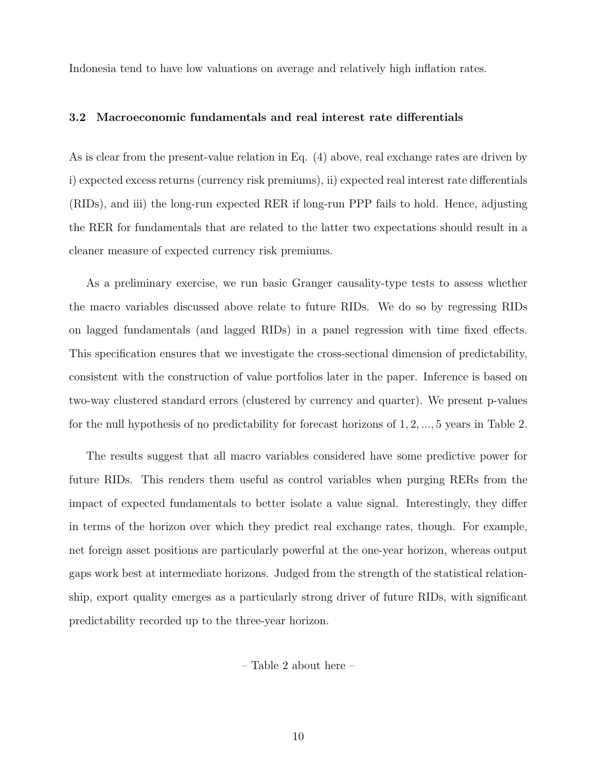Indonesia tend to have low valuations on average and relatively high inflation rates.

#### 3.2 Macroeconomic fundamentals and real interest rate differentials

As is clear from the present-value relation in Eq. [\(4\)](#page-7-0) above, real exchange rates are driven by i) expected excess returns (currency risk premiums), ii) expected real interest rate differentials (RIDs), and iii) the long-run expected RER if long-run PPP fails to hold. Hence, adjusting the RER for fundamentals that are related to the latter two expectations should result in a cleaner measure of expected currency risk premiums.

As a preliminary exercise, we run basic Granger causality-type tests to assess whether the macro variables discussed above relate to future RIDs. We do so by regressing RIDs on lagged fundamentals (and lagged RIDs) in a panel regression with time fixed effects. This specification ensures that we investigate the cross-sectional dimension of predictability, consistent with the construction of value portfolios later in the paper. Inference is based on two-way clustered standard errors (clustered by currency and quarter). We present p-values for the null hypothesis of no predictability for forecast horizons of 1, 2, ..., 5 years in Table [2.](#page-32-0)

The results suggest that all macro variables considered have some predictive power for future RIDs. This renders them useful as control variables when purging RERs from the impact of expected fundamentals to better isolate a value signal. Interestingly, they differ in terms of the horizon over which they predict real exchange rates, though. For example, net foreign asset positions are particularly powerful at the one-year horizon, whereas output gaps work best at intermediate horizons. Judged from the strength of the statistical relationship, export quality emerges as a particularly strong driver of future RIDs, with significant predictability recorded up to the three-year horizon.

– Table [2](#page-32-0) about here –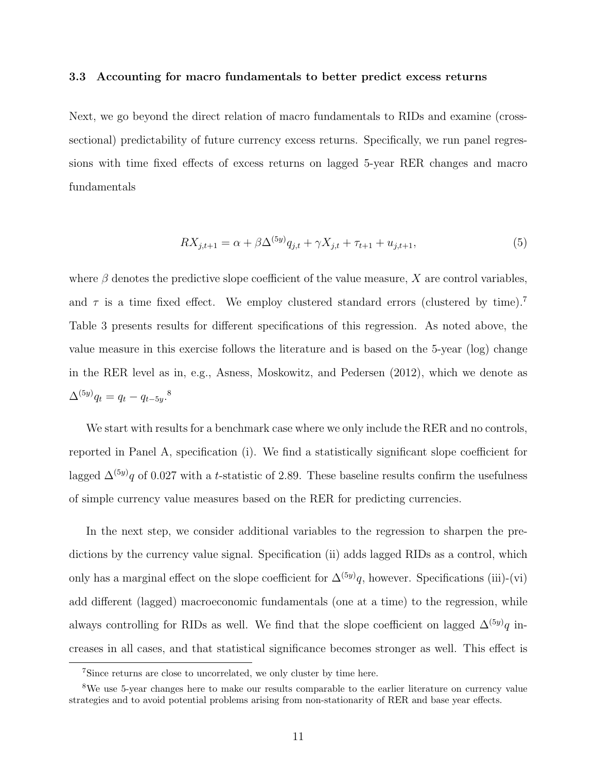#### 3.3 Accounting for macro fundamentals to better predict excess returns

Next, we go beyond the direct relation of macro fundamentals to RIDs and examine (crosssectional) predictability of future currency excess returns. Specifically, we run panel regressions with time fixed effects of excess returns on lagged 5-year RER changes and macro fundamentals

$$
RX_{j,t+1} = \alpha + \beta \Delta^{(5y)} q_{j,t} + \gamma X_{j,t} + \tau_{t+1} + u_{j,t+1},\tag{5}
$$

where  $\beta$  denotes the predictive slope coefficient of the value measure, X are control variables, and  $\tau$  is a time fixed effect. We employ clustered standard errors (clustered by time).<sup>[7](#page-12-0)</sup> Table [3](#page-33-0) presents results for different specifications of this regression. As noted above, the value measure in this exercise follows the literature and is based on the 5-year (log) change in the RER level as in, e.g., [Asness, Moskowitz, and Pedersen](#page-27-2) [\(2012\)](#page-27-2), which we denote as  $\Delta^{(5y)}q_t = q_t - q_{t-5y}.^8$  $\Delta^{(5y)}q_t = q_t - q_{t-5y}.^8$ 

We start with results for a benchmark case where we only include the RER and no controls, reported in Panel A, specification (i). We find a statistically significant slope coefficient for lagged  $\Delta^{(5y)}q$  of 0.027 with a t-statistic of 2.89. These baseline results confirm the usefulness of simple currency value measures based on the RER for predicting currencies.

In the next step, we consider additional variables to the regression to sharpen the predictions by the currency value signal. Specification (ii) adds lagged RIDs as a control, which only has a marginal effect on the slope coefficient for  $\Delta^{(5y)}q$ , however. Specifications (iii)-(vi) add different (lagged) macroeconomic fundamentals (one at a time) to the regression, while always controlling for RIDs as well. We find that the slope coefficient on lagged  $\Delta^{(5y)}q$  increases in all cases, and that statistical significance becomes stronger as well. This effect is

<span id="page-12-1"></span><span id="page-12-0"></span><sup>7</sup>Since returns are close to uncorrelated, we only cluster by time here.

<sup>&</sup>lt;sup>8</sup>We use 5-year changes here to make our results comparable to the earlier literature on currency value strategies and to avoid potential problems arising from non-stationarity of RER and base year effects.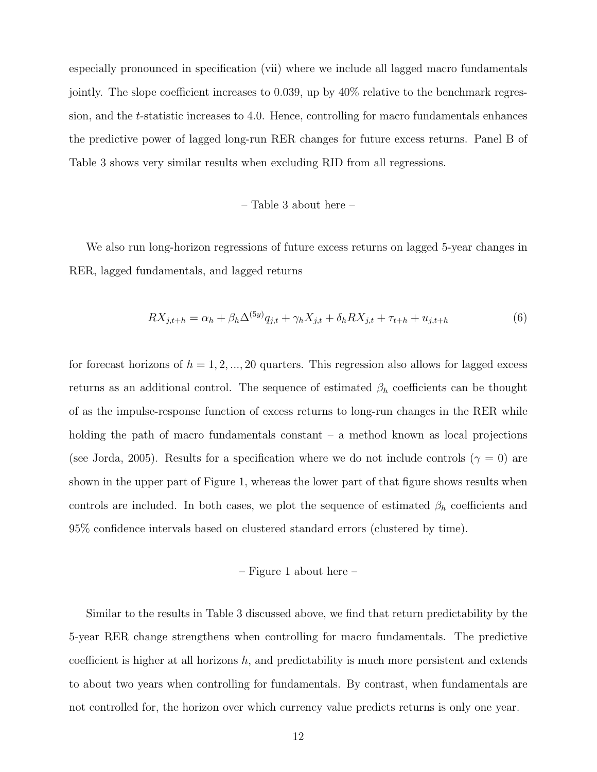especially pronounced in specification (vii) where we include all lagged macro fundamentals jointly. The slope coefficient increases to 0.039, up by 40% relative to the benchmark regression, and the t-statistic increases to 4.0. Hence, controlling for macro fundamentals enhances the predictive power of lagged long-run RER changes for future excess returns. Panel B of Table [3](#page-33-0) shows very similar results when excluding RID from all regressions.

#### – Table [3](#page-33-0) about here –

We also run long-horizon regressions of future excess returns on lagged 5-year changes in RER, lagged fundamentals, and lagged returns

$$
RX_{j,t+h} = \alpha_h + \beta_h \Delta^{(5y)} q_{j,t} + \gamma_h X_{j,t} + \delta_h RX_{j,t} + \tau_{t+h} + u_{j,t+h}
$$
(6)

for forecast horizons of  $h = 1, 2, ..., 20$  quarters. This regression also allows for lagged excess returns as an additional control. The sequence of estimated  $\beta_h$  coefficients can be thought of as the impulse-response function of excess returns to long-run changes in the RER while holding the path of macro fundamentals constant – a method known as local projections (see [Jorda,](#page-28-8) [2005\)](#page-28-8). Results for a specification where we do not include controls ( $\gamma = 0$ ) are shown in the upper part of Figure [1,](#page-40-0) whereas the lower part of that figure shows results when controls are included. In both cases, we plot the sequence of estimated  $\beta_h$  coefficients and 95% confidence intervals based on clustered standard errors (clustered by time).

#### – Figure [1](#page-40-0) about here –

Similar to the results in Table [3](#page-33-0) discussed above, we find that return predictability by the 5-year RER change strengthens when controlling for macro fundamentals. The predictive coefficient is higher at all horizons  $h$ , and predictability is much more persistent and extends to about two years when controlling for fundamentals. By contrast, when fundamentals are not controlled for, the horizon over which currency value predicts returns is only one year.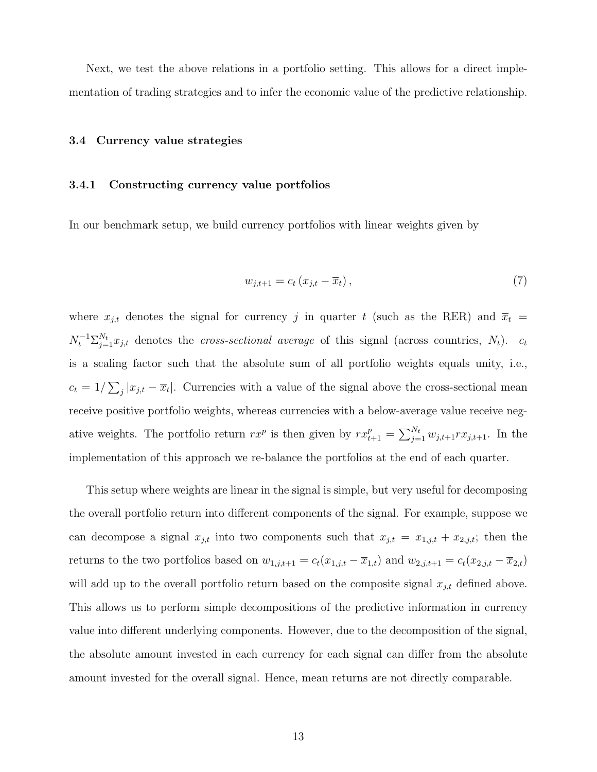Next, we test the above relations in a portfolio setting. This allows for a direct implementation of trading strategies and to infer the economic value of the predictive relationship.

#### 3.4 Currency value strategies

#### 3.4.1 Constructing currency value portfolios

In our benchmark setup, we build currency portfolios with linear weights given by

$$
w_{j,t+1} = c_t \left( x_{j,t} - \overline{x}_t \right),\tag{7}
$$

where  $x_{j,t}$  denotes the signal for currency j in quarter t (such as the RER) and  $\overline{x}_t$  =  $N_t^{-1} \sum_{j=1}^{N_t} x_{j,t}$  denotes the *cross-sectional average* of this signal (across countries,  $N_t$ ).  $c_t$ is a scaling factor such that the absolute sum of all portfolio weights equals unity, i.e.,  $c_t = 1/\sum_j |x_{j,t} - \overline{x}_t|$ . Currencies with a value of the signal above the cross-sectional mean receive positive portfolio weights, whereas currencies with a below-average value receive negative weights. The portfolio return  $rx^p$  is then given by  $rx^p_{t+1} = \sum_{j=1}^{N_t} w_{j,t+1}rx_{j,t+1}$ . In the implementation of this approach we re-balance the portfolios at the end of each quarter.

This setup where weights are linear in the signal is simple, but very useful for decomposing the overall portfolio return into different components of the signal. For example, suppose we can decompose a signal  $x_{j,t}$  into two components such that  $x_{j,t} = x_{1,j,t} + x_{2,j,t}$ ; then the returns to the two portfolios based on  $w_{1,j,t+1} = c_t(x_{1,j,t} - \overline{x}_{1,t})$  and  $w_{2,j,t+1} = c_t(x_{2,j,t} - \overline{x}_{2,t})$ will add up to the overall portfolio return based on the composite signal  $x_{j,t}$  defined above. This allows us to perform simple decompositions of the predictive information in currency value into different underlying components. However, due to the decomposition of the signal, the absolute amount invested in each currency for each signal can differ from the absolute amount invested for the overall signal. Hence, mean returns are not directly comparable.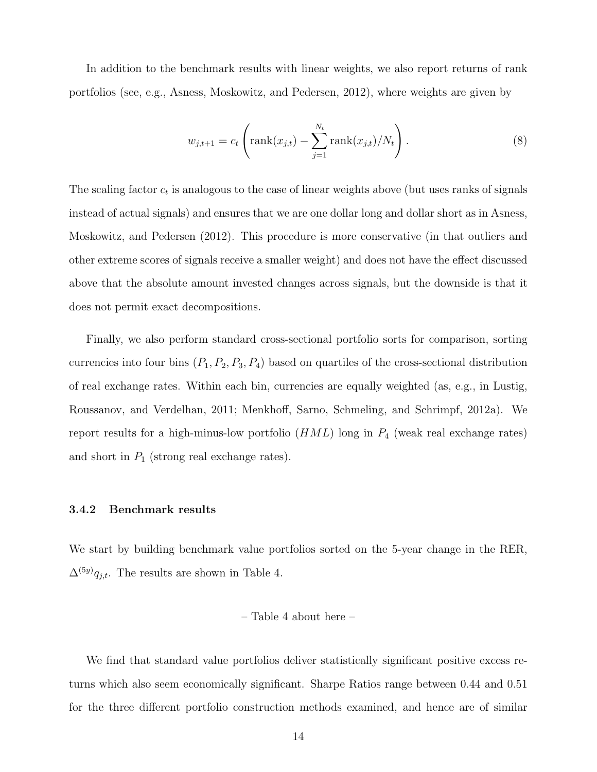In addition to the benchmark results with linear weights, we also report returns of rank portfolios (see, e.g., [Asness, Moskowitz, and Pedersen,](#page-27-2) [2012\)](#page-27-2), where weights are given by

$$
w_{j,t+1} = c_t \left( \text{rank}(x_{j,t}) - \sum_{j=1}^{N_t} \text{rank}(x_{j,t}) / N_t \right).
$$
 (8)

The scaling factor  $c_t$  is analogous to the case of linear weights above (but uses ranks of signals instead of actual signals) and ensures that we are one dollar long and dollar short as in [Asness,](#page-27-2) [Moskowitz, and Pedersen](#page-27-2) [\(2012\)](#page-27-2). This procedure is more conservative (in that outliers and other extreme scores of signals receive a smaller weight) and does not have the effect discussed above that the absolute amount invested changes across signals, but the downside is that it does not permit exact decompositions.

Finally, we also perform standard cross-sectional portfolio sorts for comparison, sorting currencies into four bins  $(P_1, P_2, P_3, P_4)$  based on quartiles of the cross-sectional distribution of real exchange rates. Within each bin, currencies are equally weighted (as, e.g., in [Lustig,](#page-29-1) [Roussanov, and Verdelhan,](#page-29-1) [2011;](#page-29-1) [Menkhoff, Sarno, Schmeling, and Schrimpf,](#page-29-2) [2012a\)](#page-29-2). We report results for a high-minus-low portfolio  $(HML)$  long in  $P_4$  (weak real exchange rates) and short in  $P_1$  (strong real exchange rates).

#### 3.4.2 Benchmark results

We start by building benchmark value portfolios sorted on the 5-year change in the RER,  $\Delta^{(5y)}q_{j,t}$ . The results are shown in Table [4.](#page-34-0)

#### – Table [4](#page-34-0) about here –

We find that standard value portfolios deliver statistically significant positive excess returns which also seem economically significant. Sharpe Ratios range between 0.44 and 0.51 for the three different portfolio construction methods examined, and hence are of similar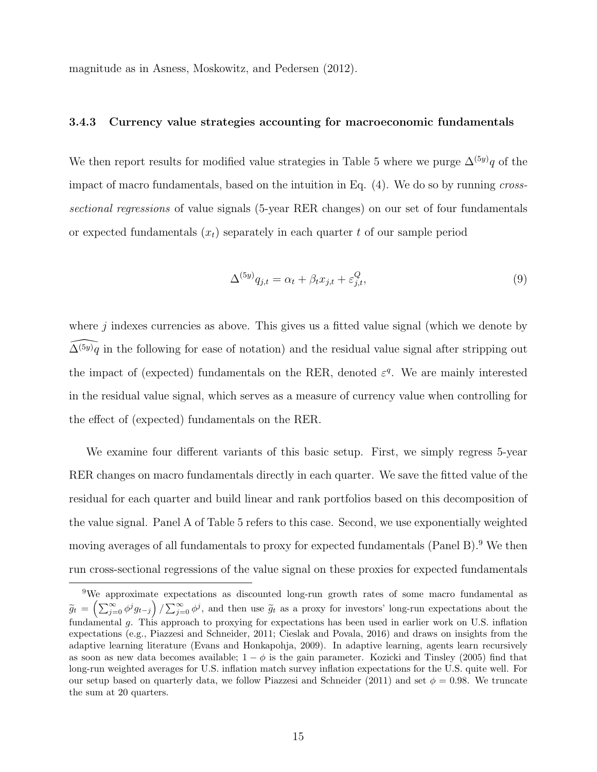magnitude as in [Asness, Moskowitz, and Pedersen](#page-27-2) [\(2012\)](#page-27-2).

#### 3.4.3 Currency value strategies accounting for macroeconomic fundamentals

We then report results for modified value strategies in Table [5](#page-35-0) where we purge  $\Delta^{(5y)}q$  of the impact of macro fundamentals, based on the intuition in Eq. [\(4\)](#page-7-0). We do so by running crosssectional regressions of value signals (5-year RER changes) on our set of four fundamentals or expected fundamentals  $(x_t)$  separately in each quarter t of our sample period

<span id="page-16-1"></span>
$$
\Delta^{(5y)}q_{j,t} = \alpha_t + \beta_t x_{j,t} + \varepsilon_{j,t}^Q,\tag{9}
$$

where  $j$  indexes currencies as above. This gives us a fitted value signal (which we denote by  $\widehat{\Delta}^{(5y)}q$  in the following for ease of notation) and the residual value signal after stripping out the impact of (expected) fundamentals on the RER, denoted  $\varepsilon^q$ . We are mainly interested in the residual value signal, which serves as a measure of currency value when controlling for the effect of (expected) fundamentals on the RER.

We examine four different variants of this basic setup. First, we simply regress 5-year RER changes on macro fundamentals directly in each quarter. We save the fitted value of the residual for each quarter and build linear and rank portfolios based on this decomposition of the value signal. Panel A of Table [5](#page-35-0) refers to this case. Second, we use exponentially weighted moving averages of all fundamentals to proxy for expected fundamentals (Panel B).<sup>[9](#page-16-0)</sup> We then run cross-sectional regressions of the value signal on these proxies for expected fundamentals

<span id="page-16-0"></span><sup>9</sup>We approximate expectations as discounted long-run growth rates of some macro fundamental as  $\widetilde{g}_t = \left(\sum_{j=0}^{\infty} \phi^j g_{t-j}\right) / \sum_{j=0}^{\infty} \phi^j$ , and then use  $\widetilde{g}_t$  as a proxy for investors' long-run expectations about the fundamental g. This approach to proxying for expectations has been used in earlier work on U.S. inflation expectations (e.g., [Piazzesi and Schneider,](#page-29-13) [2011;](#page-29-13) [Cieslak and Povala,](#page-27-8) [2016\)](#page-27-8) and draws on insights from the adaptive learning literature [\(Evans and Honkapohja,](#page-27-9) [2009\)](#page-27-9). In adaptive learning, agents learn recursively as soon as new data becomes available;  $1 - \phi$  is the gain parameter. [Kozicki and Tinsley](#page-28-9) [\(2005\)](#page-28-9) find that long-run weighted averages for U.S. inflation match survey inflation expectations for the U.S. quite well. For our setup based on quarterly data, we follow [Piazzesi and Schneider](#page-29-13) [\(2011\)](#page-29-13) and set  $\phi = 0.98$ . We truncate the sum at 20 quarters.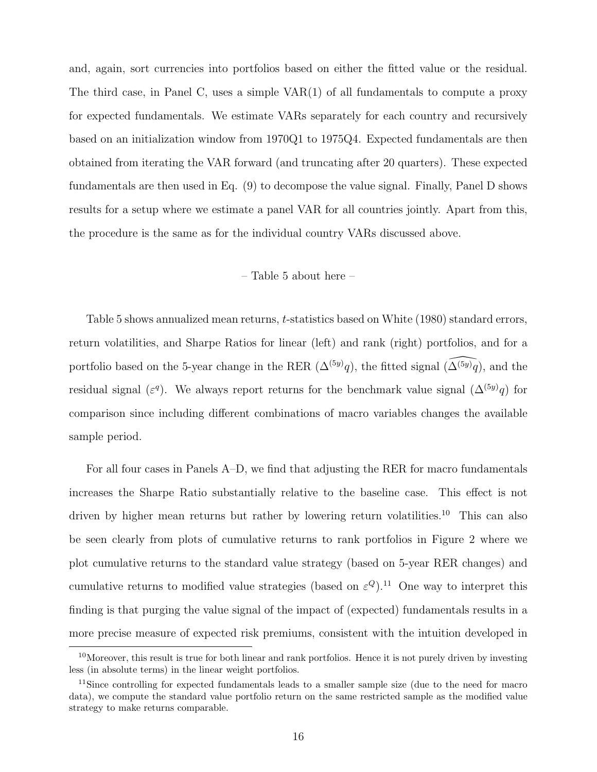and, again, sort currencies into portfolios based on either the fitted value or the residual. The third case, in Panel C, uses a simple VAR(1) of all fundamentals to compute a proxy for expected fundamentals. We estimate VARs separately for each country and recursively based on an initialization window from 1970Q1 to 1975Q4. Expected fundamentals are then obtained from iterating the VAR forward (and truncating after 20 quarters). These expected fundamentals are then used in Eq. [\(9\)](#page-16-1) to decompose the value signal. Finally, Panel D shows results for a setup where we estimate a panel VAR for all countries jointly. Apart from this, the procedure is the same as for the individual country VARs discussed above.

#### – Table [5](#page-35-0) about here –

Table [5](#page-35-0) shows annualized mean returns, t-statistics based on [White](#page-30-2) [\(1980\)](#page-30-2) standard errors, return volatilities, and Sharpe Ratios for linear (left) and rank (right) portfolios, and for a portfolio based on the 5-year change in the RER  $(\Delta^{(5y)}q)$ , the fitted signal  $(\widehat{\Delta^{(5y)}q})$ , and the residual signal ( $\varepsilon^q$ ). We always report returns for the benchmark value signal ( $\Delta^{(5y)}q$ ) for comparison since including different combinations of macro variables changes the available sample period.

For all four cases in Panels A–D, we find that adjusting the RER for macro fundamentals increases the Sharpe Ratio substantially relative to the baseline case. This effect is not driven by higher mean returns but rather by lowering return volatilities.<sup>[10](#page-17-0)</sup> This can also be seen clearly from plots of cumulative returns to rank portfolios in Figure [2](#page-41-0) where we plot cumulative returns to the standard value strategy (based on 5-year RER changes) and cumulative returns to modified value strategies (based on  $\varepsilon^{Q}$ ).<sup>[11](#page-17-1)</sup> One way to interpret this finding is that purging the value signal of the impact of (expected) fundamentals results in a more precise measure of expected risk premiums, consistent with the intuition developed in

<span id="page-17-0"></span><sup>&</sup>lt;sup>10</sup>Moreover, this result is true for both linear and rank portfolios. Hence it is not purely driven by investing less (in absolute terms) in the linear weight portfolios.

<span id="page-17-1"></span><sup>&</sup>lt;sup>11</sup>Since controlling for expected fundamentals leads to a smaller sample size (due to the need for macro data), we compute the standard value portfolio return on the same restricted sample as the modified value strategy to make returns comparable.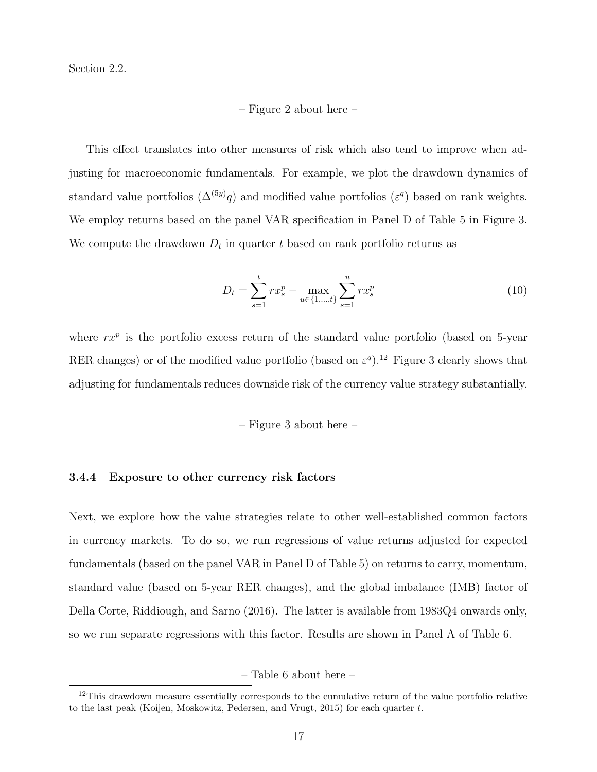Section 2.2.

– Figure [2](#page-41-0) about here –

This effect translates into other measures of risk which also tend to improve when adjusting for macroeconomic fundamentals. For example, we plot the drawdown dynamics of standard value portfolios  $(\Delta^{(5y)}q)$  and modified value portfolios  $(\varepsilon^q)$  based on rank weights. We employ returns based on the panel VAR specification in Panel D of Table [5](#page-35-0) in Figure [3.](#page-42-0) We compute the drawdown  $D_t$  in quarter t based on rank portfolio returns as

$$
D_t = \sum_{s=1}^t r x_s^p - \max_{u \in \{1, \dots, t\}} \sum_{s=1}^u r x_s^p \tag{10}
$$

where  $rx^p$  is the portfolio excess return of the standard value portfolio (based on 5-year RER changes) or of the modified value portfolio (based on  $\varepsilon^{q}$ ).<sup>[12](#page-18-0)</sup> Figure [3](#page-42-0) clearly shows that adjusting for fundamentals reduces downside risk of the currency value strategy substantially.

– Figure [3](#page-42-0) about here –

#### 3.4.4 Exposure to other currency risk factors

Next, we explore how the value strategies relate to other well-established common factors in currency markets. To do so, we run regressions of value returns adjusted for expected fundamentals (based on the panel VAR in Panel D of Table [5\)](#page-35-0) on returns to carry, momentum, standard value (based on 5-year RER changes), and the global imbalance (IMB) factor of [Della Corte, Riddiough, and Sarno](#page-27-10) [\(2016\)](#page-27-10). The latter is available from 1983Q4 onwards only, so we run separate regressions with this factor. Results are shown in Panel A of Table [6.](#page-36-0)

– Table [6](#page-36-0) about here –

<span id="page-18-0"></span><sup>&</sup>lt;sup>12</sup>This drawdown measure essentially corresponds to the cumulative return of the value portfolio relative to the last peak [\(Koijen, Moskowitz, Pedersen, and Vrugt,](#page-28-10) [2015\)](#page-28-10) for each quarter t.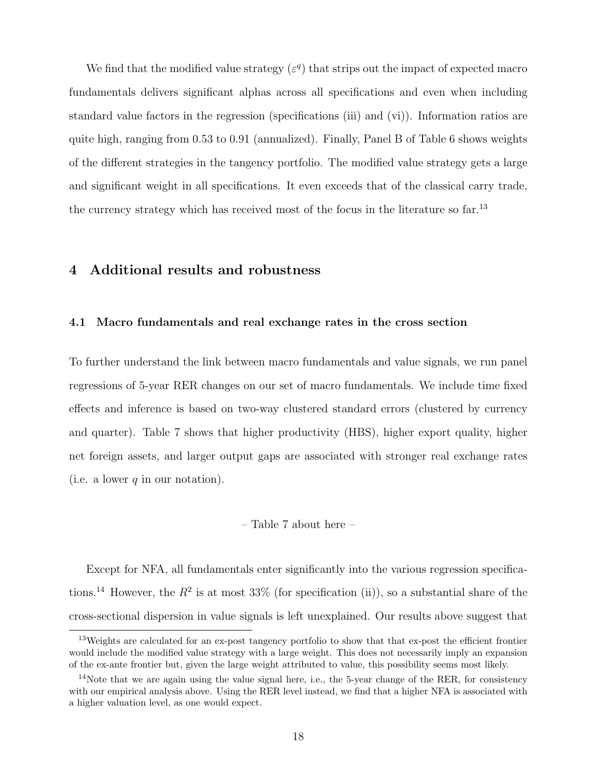We find that the modified value strategy  $(\varepsilon^q)$  that strips out the impact of expected macro fundamentals delivers significant alphas across all specifications and even when including standard value factors in the regression (specifications (iii) and (vi)). Information ratios are quite high, ranging from 0.53 to 0.91 (annualized). Finally, Panel B of Table [6](#page-36-0) shows weights of the different strategies in the tangency portfolio. The modified value strategy gets a large and significant weight in all specifications. It even exceeds that of the classical carry trade, the currency strategy which has received most of the focus in the literature so far.<sup>[13](#page-19-0)</sup>

#### 4 Additional results and robustness

#### 4.1 Macro fundamentals and real exchange rates in the cross section

To further understand the link between macro fundamentals and value signals, we run panel regressions of 5-year RER changes on our set of macro fundamentals. We include time fixed effects and inference is based on two-way clustered standard errors (clustered by currency and quarter). Table [7](#page-37-0) shows that higher productivity (HBS), higher export quality, higher net foreign assets, and larger output gaps are associated with stronger real exchange rates (i.e. a lower  $q$  in our notation).

#### – Table [7](#page-37-0) about here –

Except for NFA, all fundamentals enter significantly into the various regression specifica-tions.<sup>[14](#page-19-1)</sup> However, the  $R^2$  is at most 33% (for specification (ii)), so a substantial share of the cross-sectional dispersion in value signals is left unexplained. Our results above suggest that

<span id="page-19-0"></span><sup>&</sup>lt;sup>13</sup>Weights are calculated for an ex-post tangency portfolio to show that that ex-post the efficient frontier would include the modified value strategy with a large weight. This does not necessarily imply an expansion of the ex-ante frontier but, given the large weight attributed to value, this possibility seems most likely.

<span id="page-19-1"></span><sup>&</sup>lt;sup>14</sup>Note that we are again using the value signal here, i.e., the 5-year change of the RER, for consistency with our empirical analysis above. Using the RER level instead, we find that a higher NFA is associated with a higher valuation level, as one would expect.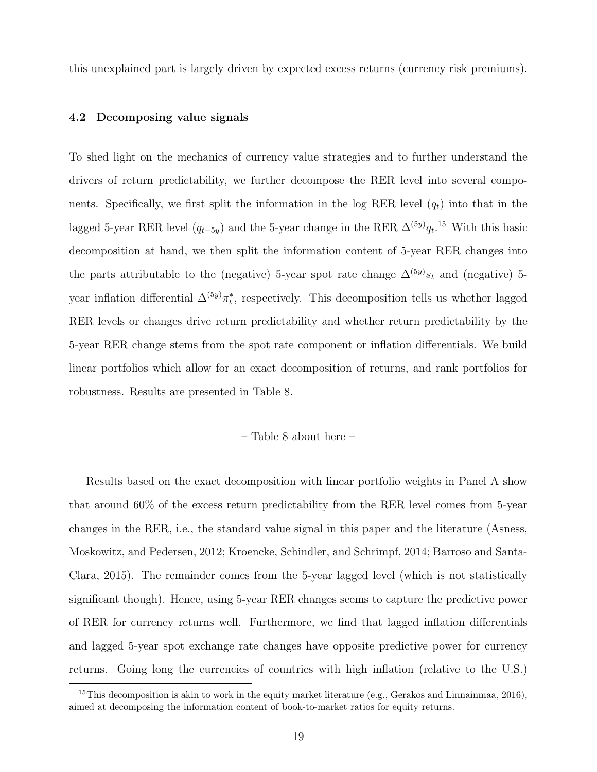this unexplained part is largely driven by expected excess returns (currency risk premiums).

#### 4.2 Decomposing value signals

To shed light on the mechanics of currency value strategies and to further understand the drivers of return predictability, we further decompose the RER level into several components. Specifically, we first split the information in the log RER level  $(q_t)$  into that in the lagged 5-year RER level  $(q_{t-5y})$  and the 5-year change in the RER  $\Delta^{(5y)}q_t$ <sup>[15](#page-20-0)</sup> With this basic decomposition at hand, we then split the information content of 5-year RER changes into the parts attributable to the (negative) 5-year spot rate change  $\Delta^{(5y)}s_t$  and (negative) 5year inflation differential  $\Delta^{(5y)}\pi_t^*$ , respectively. This decomposition tells us whether lagged RER levels or changes drive return predictability and whether return predictability by the 5-year RER change stems from the spot rate component or inflation differentials. We build linear portfolios which allow for an exact decomposition of returns, and rank portfolios for robustness. Results are presented in Table [8.](#page-38-0)

– Table [8](#page-38-0) about here –

Results based on the exact decomposition with linear portfolio weights in Panel A show that around 60% of the excess return predictability from the RER level comes from 5-year changes in the RER, i.e., the standard value signal in this paper and the literature [\(Asness,](#page-27-2) [Moskowitz, and Pedersen,](#page-27-2) [2012;](#page-27-2) [Kroencke, Schindler, and Schrimpf,](#page-28-3) [2014;](#page-28-3) [Barroso and Santa-](#page-27-3)[Clara,](#page-27-3) [2015\)](#page-27-3). The remainder comes from the 5-year lagged level (which is not statistically significant though). Hence, using 5-year RER changes seems to capture the predictive power of RER for currency returns well. Furthermore, we find that lagged inflation differentials and lagged 5-year spot exchange rate changes have opposite predictive power for currency returns. Going long the currencies of countries with high inflation (relative to the U.S.)

<span id="page-20-0"></span><sup>&</sup>lt;sup>15</sup>This decomposition is akin to work in the equity market literature (e.g., [Gerakos and Linnainmaa,](#page-28-11) [2016\)](#page-28-11), aimed at decomposing the information content of book-to-market ratios for equity returns.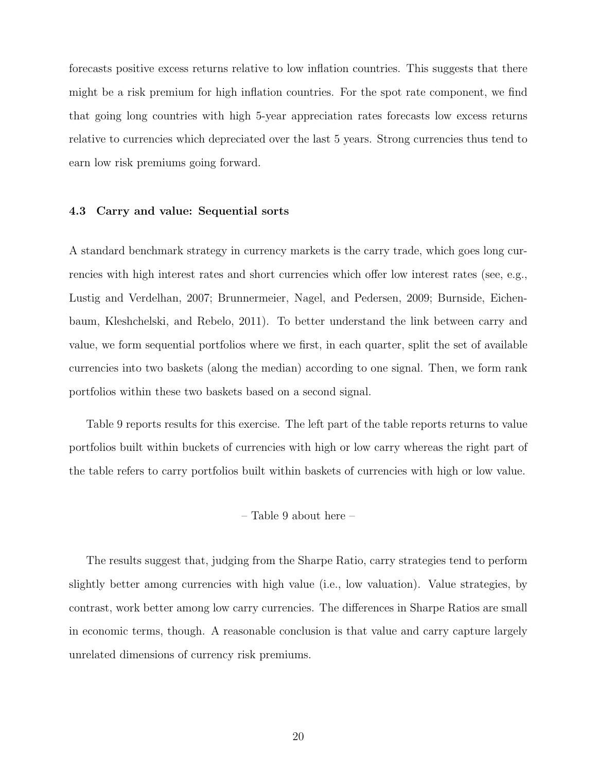forecasts positive excess returns relative to low inflation countries. This suggests that there might be a risk premium for high inflation countries. For the spot rate component, we find that going long countries with high 5-year appreciation rates forecasts low excess returns relative to currencies which depreciated over the last 5 years. Strong currencies thus tend to earn low risk premiums going forward.

#### 4.3 Carry and value: Sequential sorts

A standard benchmark strategy in currency markets is the carry trade, which goes long currencies with high interest rates and short currencies which offer low interest rates (see, e.g., [Lustig and Verdelhan,](#page-29-0) [2007;](#page-29-0) [Brunnermeier, Nagel, and Pedersen,](#page-27-11) [2009;](#page-27-11) [Burnside, Eichen](#page-27-5)[baum, Kleshchelski, and Rebelo,](#page-27-5) [2011\)](#page-27-5). To better understand the link between carry and value, we form sequential portfolios where we first, in each quarter, split the set of available currencies into two baskets (along the median) according to one signal. Then, we form rank portfolios within these two baskets based on a second signal.

Table [9](#page-39-0) reports results for this exercise. The left part of the table reports returns to value portfolios built within buckets of currencies with high or low carry whereas the right part of the table refers to carry portfolios built within baskets of currencies with high or low value.

– Table [9](#page-39-0) about here –

The results suggest that, judging from the Sharpe Ratio, carry strategies tend to perform slightly better among currencies with high value (i.e., low valuation). Value strategies, by contrast, work better among low carry currencies. The differences in Sharpe Ratios are small in economic terms, though. A reasonable conclusion is that value and carry capture largely unrelated dimensions of currency risk premiums.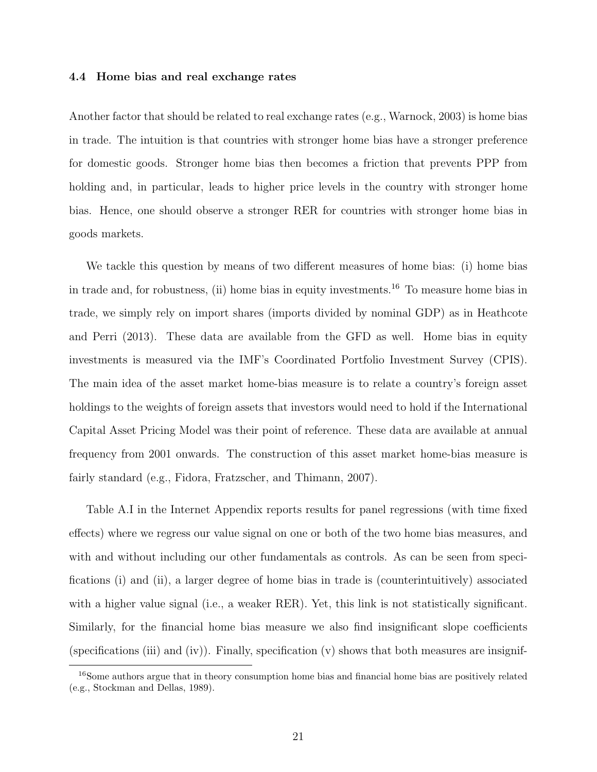#### 4.4 Home bias and real exchange rates

Another factor that should be related to real exchange rates (e.g., [Warnock,](#page-30-3) [2003\)](#page-30-3) is home bias in trade. The intuition is that countries with stronger home bias have a stronger preference for domestic goods. Stronger home bias then becomes a friction that prevents PPP from holding and, in particular, leads to higher price levels in the country with stronger home bias. Hence, one should observe a stronger RER for countries with stronger home bias in goods markets.

We tackle this question by means of two different measures of home bias: (i) home bias in trade and, for robustness, (ii) home bias in equity investments.[16](#page-22-0) To measure home bias in trade, we simply rely on import shares (imports divided by nominal GDP) as in [Heathcote](#page-28-12) [and Perri](#page-28-12) [\(2013\)](#page-28-12). These data are available from the GFD as well. Home bias in equity investments is measured via the IMF's Coordinated Portfolio Investment Survey (CPIS). The main idea of the asset market home-bias measure is to relate a country's foreign asset holdings to the weights of foreign assets that investors would need to hold if the International Capital Asset Pricing Model was their point of reference. These data are available at annual frequency from 2001 onwards. The construction of this asset market home-bias measure is fairly standard (e.g., [Fidora, Fratzscher, and Thimann,](#page-28-13) [2007\)](#page-28-13).

Table [A.I](#page-48-0) in the Internet Appendix reports results for panel regressions (with time fixed effects) where we regress our value signal on one or both of the two home bias measures, and with and without including our other fundamentals as controls. As can be seen from specifications (i) and (ii), a larger degree of home bias in trade is (counterintuitively) associated with a higher value signal (i.e., a weaker RER). Yet, this link is not statistically significant. Similarly, for the financial home bias measure we also find insignificant slope coefficients (specifications (iii) and (iv)). Finally, specification (v) shows that both measures are insignif-

<span id="page-22-0"></span><sup>&</sup>lt;sup>16</sup>Some authors argue that in theory consumption home bias and financial home bias are positively related (e.g., [Stockman and Dellas,](#page-29-14) [1989\)](#page-29-14).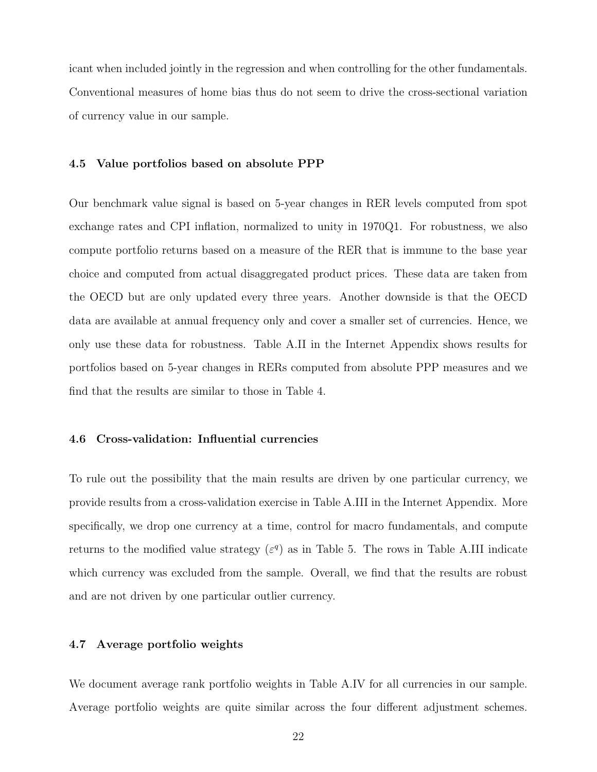icant when included jointly in the regression and when controlling for the other fundamentals. Conventional measures of home bias thus do not seem to drive the cross-sectional variation of currency value in our sample.

#### 4.5 Value portfolios based on absolute PPP

Our benchmark value signal is based on 5-year changes in RER levels computed from spot exchange rates and CPI inflation, normalized to unity in 1970Q1. For robustness, we also compute portfolio returns based on a measure of the RER that is immune to the base year choice and computed from actual disaggregated product prices. These data are taken from the OECD but are only updated every three years. Another downside is that the OECD data are available at annual frequency only and cover a smaller set of currencies. Hence, we only use these data for robustness. Table [A.II](#page-49-0) in the Internet Appendix shows results for portfolios based on 5-year changes in RERs computed from absolute PPP measures and we find that the results are similar to those in Table [4.](#page-34-0)

#### 4.6 Cross-validation: Influential currencies

To rule out the possibility that the main results are driven by one particular currency, we provide results from a cross-validation exercise in Table [A.III](#page-50-0) in the Internet Appendix. More specifically, we drop one currency at a time, control for macro fundamentals, and compute returns to the modified value strategy ( $\varepsilon$ <sup>q</sup>) as in Table [5.](#page-35-0) The rows in Table [A.III](#page-50-0) indicate which currency was excluded from the sample. Overall, we find that the results are robust and are not driven by one particular outlier currency.

#### 4.7 Average portfolio weights

We document average rank portfolio weights in Table [A.IV](#page-51-0) for all currencies in our sample. Average portfolio weights are quite similar across the four different adjustment schemes.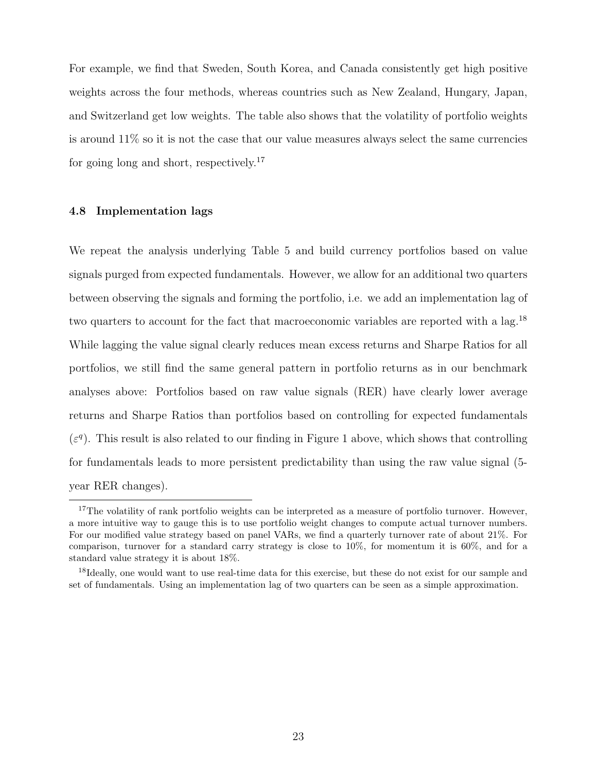For example, we find that Sweden, South Korea, and Canada consistently get high positive weights across the four methods, whereas countries such as New Zealand, Hungary, Japan, and Switzerland get low weights. The table also shows that the volatility of portfolio weights is around 11% so it is not the case that our value measures always select the same currencies for going long and short, respectively.<sup>[17](#page-24-0)</sup>

#### 4.8 Implementation lags

We repeat the analysis underlying Table [5](#page-35-0) and build currency portfolios based on value signals purged from expected fundamentals. However, we allow for an additional two quarters between observing the signals and forming the portfolio, i.e. we add an implementation lag of two quarters to account for the fact that macroeconomic variables are reported with a lag.<sup>[18](#page-24-1)</sup> While lagging the value signal clearly reduces mean excess returns and Sharpe Ratios for all portfolios, we still find the same general pattern in portfolio returns as in our benchmark analyses above: Portfolios based on raw value signals (RER) have clearly lower average returns and Sharpe Ratios than portfolios based on controlling for expected fundamentals  $(\varepsilon^q)$ . This result is also related to our finding in Figure [1](#page-40-0) above, which shows that controlling for fundamentals leads to more persistent predictability than using the raw value signal (5 year RER changes).

<span id="page-24-0"></span><sup>&</sup>lt;sup>17</sup>The volatility of rank portfolio weights can be interpreted as a measure of portfolio turnover. However, a more intuitive way to gauge this is to use portfolio weight changes to compute actual turnover numbers. For our modified value strategy based on panel VARs, we find a quarterly turnover rate of about 21%. For comparison, turnover for a standard carry strategy is close to 10%, for momentum it is 60%, and for a standard value strategy it is about 18%.

<span id="page-24-1"></span><sup>&</sup>lt;sup>18</sup>Ideally, one would want to use real-time data for this exercise, but these do not exist for our sample and set of fundamentals. Using an implementation lag of two quarters can be seen as a simple approximation.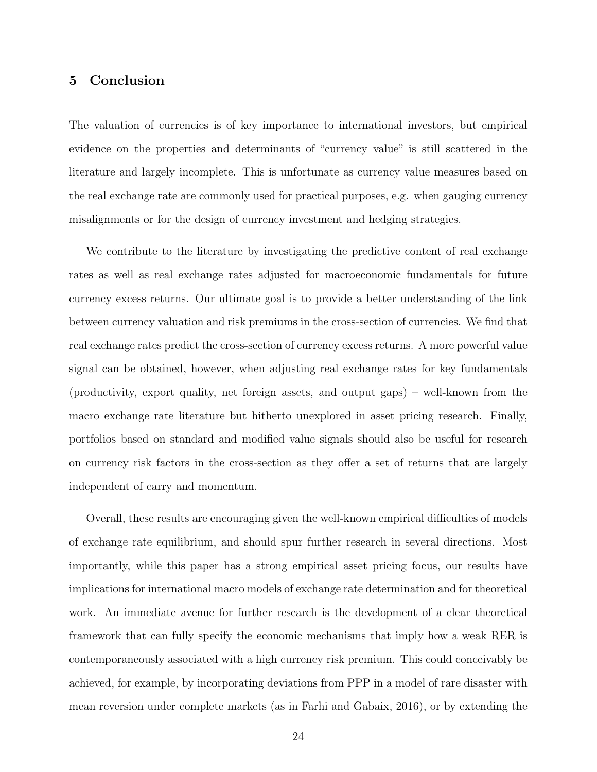#### 5 Conclusion

The valuation of currencies is of key importance to international investors, but empirical evidence on the properties and determinants of "currency value" is still scattered in the literature and largely incomplete. This is unfortunate as currency value measures based on the real exchange rate are commonly used for practical purposes, e.g. when gauging currency misalignments or for the design of currency investment and hedging strategies.

We contribute to the literature by investigating the predictive content of real exchange rates as well as real exchange rates adjusted for macroeconomic fundamentals for future currency excess returns. Our ultimate goal is to provide a better understanding of the link between currency valuation and risk premiums in the cross-section of currencies. We find that real exchange rates predict the cross-section of currency excess returns. A more powerful value signal can be obtained, however, when adjusting real exchange rates for key fundamentals (productivity, export quality, net foreign assets, and output gaps) – well-known from the macro exchange rate literature but hitherto unexplored in asset pricing research. Finally, portfolios based on standard and modified value signals should also be useful for research on currency risk factors in the cross-section as they offer a set of returns that are largely independent of carry and momentum.

Overall, these results are encouraging given the well-known empirical difficulties of models of exchange rate equilibrium, and should spur further research in several directions. Most importantly, while this paper has a strong empirical asset pricing focus, our results have implications for international macro models of exchange rate determination and for theoretical work. An immediate avenue for further research is the development of a clear theoretical framework that can fully specify the economic mechanisms that imply how a weak RER is contemporaneously associated with a high currency risk premium. This could conceivably be achieved, for example, by incorporating deviations from PPP in a model of rare disaster with mean reversion under complete markets (as in [Farhi and Gabaix,](#page-27-12) [2016\)](#page-27-12), or by extending the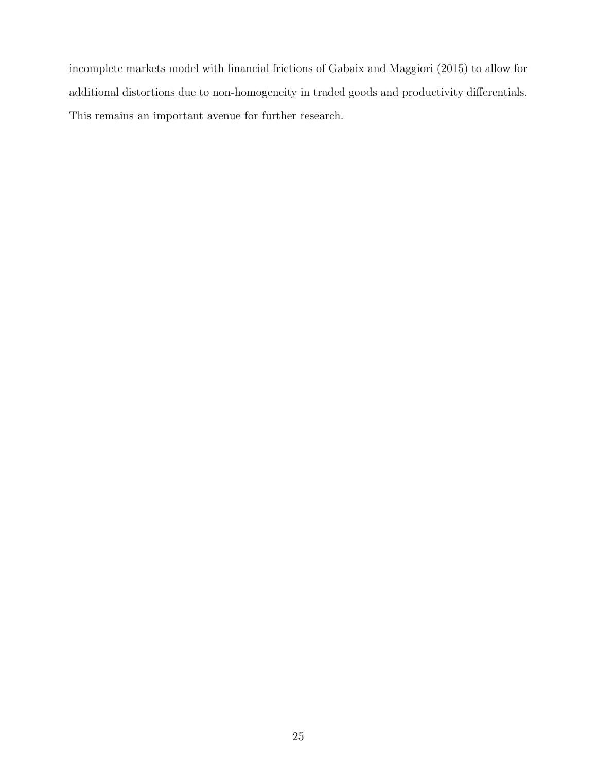incomplete markets model with financial frictions of [Gabaix and Maggiori](#page-28-2) [\(2015\)](#page-28-2) to allow for additional distortions due to non-homogeneity in traded goods and productivity differentials. This remains an important avenue for further research.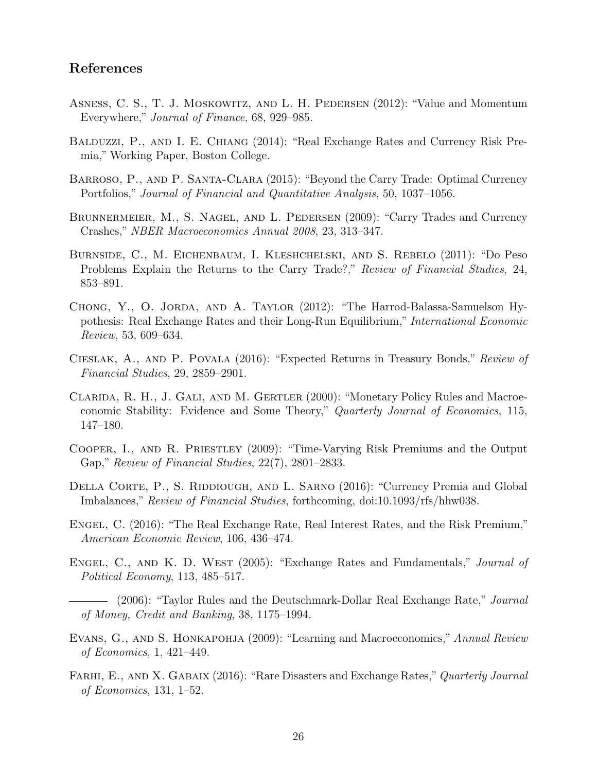#### References

- <span id="page-27-2"></span>Asness, C. S., T. J. Moskowitz, and L. H. Pedersen (2012): "Value and Momentum Everywhere," Journal of Finance, 68, 929–985.
- <span id="page-27-6"></span>Balduzzi, P., and I. E. Chiang (2014): "Real Exchange Rates and Currency Risk Premia," Working Paper, Boston College.
- <span id="page-27-3"></span>Barroso, P., and P. Santa-Clara (2015): "Beyond the Carry Trade: Optimal Currency Portfolios," Journal of Financial and Quantitative Analysis, 50, 1037–1056.
- <span id="page-27-11"></span>Brunnermeier, M., S. Nagel, and L. Pedersen (2009): "Carry Trades and Currency Crashes," NBER Macroeconomics Annual 2008, 23, 313–347.
- <span id="page-27-5"></span>Burnside, C., M. Eichenbaum, I. Kleshchelski, and S. Rebelo (2011): "Do Peso Problems Explain the Returns to the Carry Trade?," Review of Financial Studies, 24, 853–891.
- <span id="page-27-4"></span>Chong, Y., O. Jorda, and A. Taylor (2012): "The Harrod-Balassa-Samuelson Hypothesis: Real Exchange Rates and their Long-Run Equilibrium," International Economic Review, 53, 609–634.
- <span id="page-27-8"></span>Cieslak, A., and P. Povala (2016): "Expected Returns in Treasury Bonds," Review of Financial Studies, 29, 2859–2901.
- <span id="page-27-13"></span>Clarida, R. H., J. Gali, and M. Gertler (2000): "Monetary Policy Rules and Macroeconomic Stability: Evidence and Some Theory," Quarterly Journal of Economics, 115, 147–180.
- <span id="page-27-14"></span>Cooper, I., and R. Priestley (2009): "Time-Varying Risk Premiums and the Output Gap," Review of Financial Studies, 22(7), 2801–2833.
- <span id="page-27-10"></span>DELLA CORTE, P., S. RIDDIOUGH, AND L. SARNO (2016): "Currency Premia and Global Imbalances," Review of Financial Studies, forthcoming, doi:10.1093/rfs/hhw038.
- <span id="page-27-7"></span>Engel, C. (2016): "The Real Exchange Rate, Real Interest Rates, and the Risk Premium," American Economic Review, 106, 436–474.
- <span id="page-27-0"></span>ENGEL, C., AND K. D. WEST (2005): "Exchange Rates and Fundamentals," Journal of Political Economy, 113, 485–517.
- <span id="page-27-1"></span> $-$  (2006): "Taylor Rules and the Deutschmark-Dollar Real Exchange Rate," *Journal* of Money, Credit and Banking, 38, 1175–1994.
- <span id="page-27-9"></span>EVANS, G., AND S. HONKAPOHJA (2009): "Learning and Macroeconomics," Annual Review of Economics, 1, 421–449.
- <span id="page-27-12"></span>FARHI, E., AND X. GABAIX (2016): "Rare Disasters and Exchange Rates," Quarterly Journal of Economics, 131, 1–52.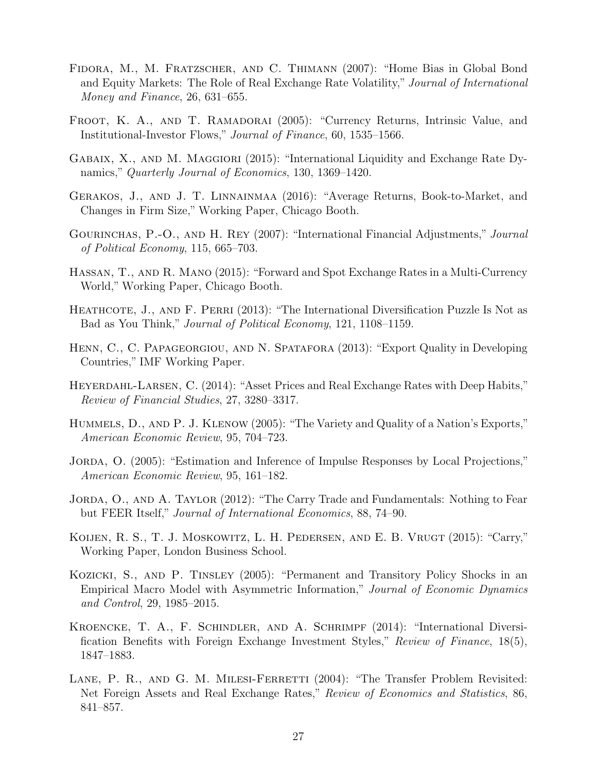- <span id="page-28-13"></span>Fidora, M., M. Fratzscher, and C. Thimann (2007): "Home Bias in Global Bond and Equity Markets: The Role of Real Exchange Rate Volatility," Journal of International Money and Finance, 26, 631–655.
- <span id="page-28-0"></span>FROOT, K. A., AND T. RAMADORAI (2005): "Currency Returns, Intrinsic Value, and Institutional-Investor Flows," Journal of Finance, 60, 1535–1566.
- <span id="page-28-2"></span>GABAIX, X., AND M. MAGGIORI (2015): "International Liquidity and Exchange Rate Dynamics," Quarterly Journal of Economics, 130, 1369–1420.
- <span id="page-28-11"></span>Gerakos, J., and J. T. Linnainmaa (2016): "Average Returns, Book-to-Market, and Changes in Firm Size," Working Paper, Chicago Booth.
- <span id="page-28-1"></span>GOURINCHAS, P.-O., AND H. REY (2007): "International Financial Adjustments," *Journal* of Political Economy, 115, 665–703.
- <span id="page-28-5"></span>Hassan, T., and R. Mano (2015): "Forward and Spot Exchange Rates in a Multi-Currency World," Working Paper, Chicago Booth.
- <span id="page-28-12"></span>HEATHCOTE, J., AND F. PERRI (2013): "The International Diversification Puzzle Is Not as Bad as You Think," Journal of Political Economy, 121, 1108–1159.
- <span id="page-28-14"></span>Henn, C., C. Papageorgiou, and N. Spatafora (2013): "Export Quality in Developing Countries," IMF Working Paper.
- <span id="page-28-6"></span>Heyerdahl-Larsen, C. (2014): "Asset Prices and Real Exchange Rates with Deep Habits," Review of Financial Studies, 27, 3280–3317.
- <span id="page-28-15"></span>Hummels, D., and P. J. Klenow (2005): "The Variety and Quality of a Nation's Exports," American Economic Review, 95, 704–723.
- <span id="page-28-8"></span>JORDA, O. (2005): "Estimation and Inference of Impulse Responses by Local Projections," American Economic Review, 95, 161–182.
- <span id="page-28-4"></span>JORDA, O., AND A. TAYLOR (2012): "The Carry Trade and Fundamentals: Nothing to Fear but FEER Itself," Journal of International Economics, 88, 74–90.
- <span id="page-28-10"></span>KOIJEN, R. S., T. J. MOSKOWITZ, L. H. PEDERSEN, AND E. B. VRUGT (2015): "Carry," Working Paper, London Business School.
- <span id="page-28-9"></span>Kozicki, S., and P. Tinsley (2005): "Permanent and Transitory Policy Shocks in an Empirical Macro Model with Asymmetric Information," Journal of Economic Dynamics and Control, 29, 1985–2015.
- <span id="page-28-3"></span>Kroencke, T. A., F. Schindler, and A. Schrimpf (2014): "International Diversification Benefits with Foreign Exchange Investment Styles," Review of Finance, 18(5), 1847–1883.
- <span id="page-28-7"></span>LANE, P. R., AND G. M. MILESI-FERRETTI (2004): "The Transfer Problem Revisited: Net Foreign Assets and Real Exchange Rates," Review of Economics and Statistics, 86, 841–857.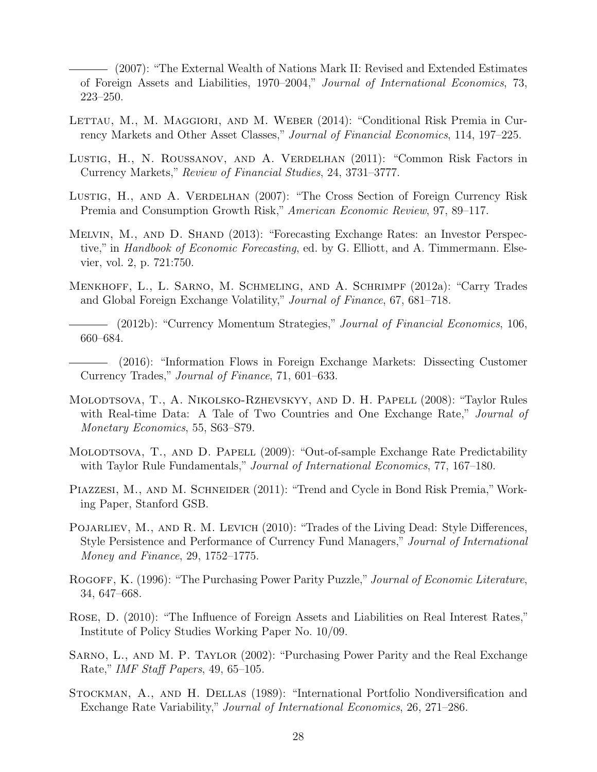<span id="page-29-15"></span>(2007): "The External Wealth of Nations Mark II: Revised and Extended Estimates of Foreign Assets and Liabilities, 1970–2004," Journal of International Economics, 73, 223–250.

- <span id="page-29-5"></span>LETTAU, M., M. MAGGIORI, AND M. WEBER (2014): "Conditional Risk Premia in Currency Markets and Other Asset Classes," Journal of Financial Economics, 114, 197–225.
- <span id="page-29-1"></span>Lustig, H., N. Roussanov, and A. Verdelhan (2011): "Common Risk Factors in Currency Markets," Review of Financial Studies, 24, 3731–3777.
- <span id="page-29-0"></span>Lustig, H., AND A. VERDELHAN (2007): "The Cross Section of Foreign Currency Risk Premia and Consumption Growth Risk," American Economic Review, 97, 89–117.
- <span id="page-29-9"></span>Melvin, M., and D. Shand (2013): "Forecasting Exchange Rates: an Investor Perspective," in *Handbook of Economic Forecasting*, ed. by G. Elliott, and A. Timmermann. Elsevier, vol. 2, p. 721:750.
- <span id="page-29-2"></span>Menkhoff, L., L. Sarno, M. Schmeling, and A. Schrimpf (2012a): "Carry Trades and Global Foreign Exchange Volatility," Journal of Finance, 67, 681–718.
- <span id="page-29-3"></span>(2012b): "Currency Momentum Strategies," Journal of Financial Economics, 106, 660–684.
- <span id="page-29-4"></span>(2016): "Information Flows in Foreign Exchange Markets: Dissecting Customer Currency Trades," Journal of Finance, 71, 601–633.
- <span id="page-29-11"></span>Molodtsova, T., A. Nikolsko-Rzhevskyy, and D. H. Papell (2008): "Taylor Rules with Real-time Data: A Tale of Two Countries and One Exchange Rate," Journal of Monetary Economics, 55, S63–S79.
- <span id="page-29-12"></span>MOLODTSOVA, T., AND D. PAPELL (2009): "Out-of-sample Exchange Rate Predictability with Taylor Rule Fundamentals," Journal of International Economics, 77, 167–180.
- <span id="page-29-13"></span>PIAZZESI, M., AND M. SCHNEIDER (2011): "Trend and Cycle in Bond Risk Premia," Working Paper, Stanford GSB.
- <span id="page-29-6"></span>POJARLIEV, M., AND R. M. LEVICH (2010): "Trades of the Living Dead: Style Differences, Style Persistence and Performance of Currency Fund Managers," Journal of International Money and Finance, 29, 1752–1775.
- <span id="page-29-7"></span>ROGOFF, K. (1996): "The Purchasing Power Parity Puzzle," Journal of Economic Literature, 34, 647–668.
- <span id="page-29-10"></span>Rose, D. (2010): "The Influence of Foreign Assets and Liabilities on Real Interest Rates," Institute of Policy Studies Working Paper No. 10/09.
- <span id="page-29-8"></span>Sarno, L., and M. P. Taylor (2002): "Purchasing Power Parity and the Real Exchange Rate," IMF Staff Papers, 49, 65–105.
- <span id="page-29-14"></span>Stockman, A., and H. Dellas (1989): "International Portfolio Nondiversification and Exchange Rate Variability," Journal of International Economics, 26, 271–286.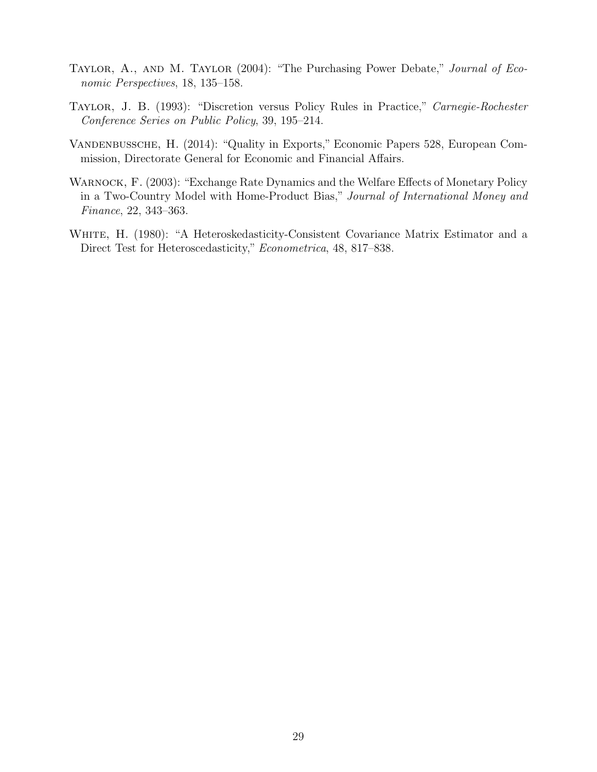- <span id="page-30-0"></span>TAYLOR, A., AND M. TAYLOR (2004): "The Purchasing Power Debate," Journal of Economic Perspectives, 18, 135–158.
- <span id="page-30-1"></span>Taylor, J. B. (1993): "Discretion versus Policy Rules in Practice," Carnegie-Rochester Conference Series on Public Policy, 39, 195–214.
- <span id="page-30-4"></span>Vandenbussche, H. (2014): "Quality in Exports," Economic Papers 528, European Commission, Directorate General for Economic and Financial Affairs.
- <span id="page-30-3"></span>Warnock, F. (2003): "Exchange Rate Dynamics and the Welfare Effects of Monetary Policy in a Two-Country Model with Home-Product Bias," Journal of International Money and Finance, 22, 343–363.
- <span id="page-30-2"></span>WHITE, H. (1980): "A Heteroskedasticity-Consistent Covariance Matrix Estimator and a Direct Test for Heteroscedasticity," Econometrica, 48, 817–838.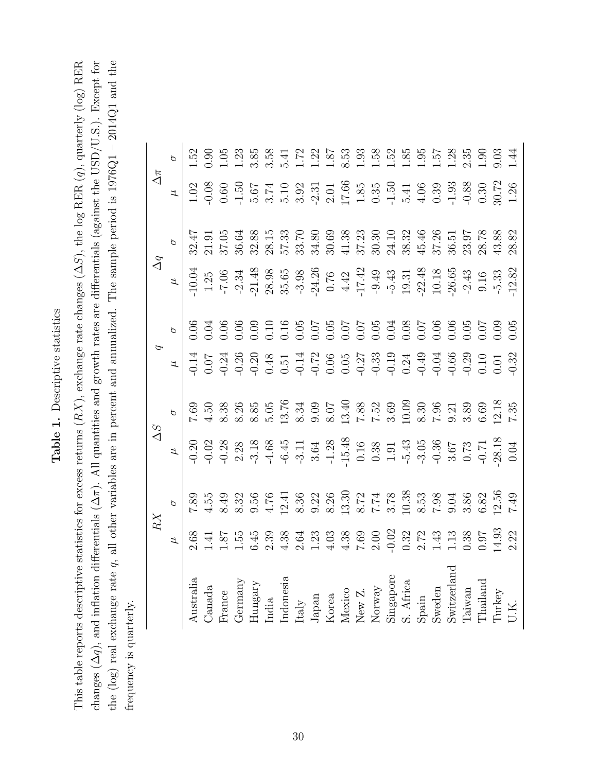# Table 1. Descriptive statistics Table 1. Descriptive statistics

<span id="page-31-0"></span>the (log) real exchange rate  $q$ , all other variables are in percent and annualized. The sample period is  $1976Q1 - 2014Q1$  and the changes  $(\Delta q)$ , and inflation differentials  $(\Delta \pi)$ . All quantities and growth rates are differentials (against the USD/U.S.). Except for This table reports descriptive statistics for excess returns  $(RX)$ , exchange rate changes  $(\Delta S)$ , the log RER  $(q)$ , quarterly  $(\log)$  RER This table reports descriptive statistics for excess returns  $(RX)$ , exchange rate changes  $(\Delta S)$ , the log RER  $(q)$ , quarterly (log) RER changes  $(\Delta q)$ , and inflation differentials  $(\Delta \pi)$ . All quantities and growth rates are differentials (against the USD/U.S.). Except for the (log) real exchange rate  $q$ , all other variables are in percent and annualized. The sample period is  $1976Q1 - 2014Q1$  and the frequency is quarterly. frequency is quarterly.

| Australia                                                                                                                                                                                                                                                                                                                                      |                                                                                                                                                                   |  | 0.06 | $\begin{array}{r} 16004 \\ -1004 \\ -7004 \\ -7004 \\ -1004 \\ -1004 \\ -1004 \\ -1004 \\ -1004 \\ -1004 \\ -1004 \\ -1004 \\ -1004 \\ -1004 \\ -1004 \\ -1004 \\ -1004 \\ -1004 \\ -1004 \\ -1004 \\ -1004 \\ -1004 \\ -1004 \\ -1004 \\ -1004 \\ -1004 \\ -1004 \\ -1004 \\ -1004 \\ -1004 \\ -1004 \\ -1004 \\ -1004 \\ -1004 \\ -1004 \\ -1$ | $\begin{array}{r} \mathbf{L} & \mathbf{1} & \mathbf{1} & \mathbf{2} & \mathbf{3} & \mathbf{3} & \mathbf{5} \\ \mathbf{I} & \mathbf{I} & \mathbf{I} & \mathbf{I} & \mathbf{I} & \mathbf{I} \\ \mathbf{I} & \mathbf{I} & \mathbf{I} & \mathbf{I} & \mathbf{I} \\ \mathbf{I} & \mathbf{I} & \mathbf{I} & \mathbf{I} & \mathbf{I} \\ \mathbf{I} & \mathbf{I} & \mathbf{I} & \mathbf{I} & \mathbf{I} \\ \mathbf{I} & \mathbf{I} & \mathbf$ |  |
|------------------------------------------------------------------------------------------------------------------------------------------------------------------------------------------------------------------------------------------------------------------------------------------------------------------------------------------------|-------------------------------------------------------------------------------------------------------------------------------------------------------------------|--|------|--------------------------------------------------------------------------------------------------------------------------------------------------------------------------------------------------------------------------------------------------------------------------------------------------------------------------------------------------|---------------------------------------------------------------------------------------------------------------------------------------------------------------------------------------------------------------------------------------------------------------------------------------------------------------------------------------------------------------------------------------------------------------------------------------|--|
|                                                                                                                                                                                                                                                                                                                                                |                                                                                                                                                                   |  |      |                                                                                                                                                                                                                                                                                                                                                  |                                                                                                                                                                                                                                                                                                                                                                                                                                       |  |
| Canada<br>France                                                                                                                                                                                                                                                                                                                               | 89 拐 49 犯 59 化 59 32 32 32 32 32 33 33 34 35 45 35 35 35 35 35 45 35 35 35 45 35 35 45 35 35 45 35 35 45 35 45<br>了 4 8 8 9 4 2 8 9 8 3 8 7 3 0 8 7 9 8 3 8 2 7 7 |  |      |                                                                                                                                                                                                                                                                                                                                                  |                                                                                                                                                                                                                                                                                                                                                                                                                                       |  |
| $\begin{array}{l} \text{Germany} \\ \text{Hungary} \\ \text{India} \\ \text{Itaby} \\ \text{Japan} \\ \text{Korea} \\ \text{Korea} \\ \text{New Z} \\ \text{Now } \text{Z} \\ \text{Now } \text{Q} \\ \text{Singapore} \\ \text{Singapore} \\ \text{Supapore} \\ \text{Syain} \\ \text{Syain} \\ \text{Syain} \\ \text{Sweden} \\ \end{array}$ |                                                                                                                                                                   |  |      |                                                                                                                                                                                                                                                                                                                                                  |                                                                                                                                                                                                                                                                                                                                                                                                                                       |  |
|                                                                                                                                                                                                                                                                                                                                                |                                                                                                                                                                   |  |      |                                                                                                                                                                                                                                                                                                                                                  |                                                                                                                                                                                                                                                                                                                                                                                                                                       |  |
|                                                                                                                                                                                                                                                                                                                                                |                                                                                                                                                                   |  |      |                                                                                                                                                                                                                                                                                                                                                  |                                                                                                                                                                                                                                                                                                                                                                                                                                       |  |
|                                                                                                                                                                                                                                                                                                                                                |                                                                                                                                                                   |  |      |                                                                                                                                                                                                                                                                                                                                                  |                                                                                                                                                                                                                                                                                                                                                                                                                                       |  |
|                                                                                                                                                                                                                                                                                                                                                |                                                                                                                                                                   |  |      |                                                                                                                                                                                                                                                                                                                                                  |                                                                                                                                                                                                                                                                                                                                                                                                                                       |  |
|                                                                                                                                                                                                                                                                                                                                                |                                                                                                                                                                   |  |      |                                                                                                                                                                                                                                                                                                                                                  |                                                                                                                                                                                                                                                                                                                                                                                                                                       |  |
|                                                                                                                                                                                                                                                                                                                                                |                                                                                                                                                                   |  |      |                                                                                                                                                                                                                                                                                                                                                  |                                                                                                                                                                                                                                                                                                                                                                                                                                       |  |
|                                                                                                                                                                                                                                                                                                                                                |                                                                                                                                                                   |  |      |                                                                                                                                                                                                                                                                                                                                                  |                                                                                                                                                                                                                                                                                                                                                                                                                                       |  |
|                                                                                                                                                                                                                                                                                                                                                |                                                                                                                                                                   |  |      |                                                                                                                                                                                                                                                                                                                                                  |                                                                                                                                                                                                                                                                                                                                                                                                                                       |  |
|                                                                                                                                                                                                                                                                                                                                                |                                                                                                                                                                   |  |      |                                                                                                                                                                                                                                                                                                                                                  |                                                                                                                                                                                                                                                                                                                                                                                                                                       |  |
|                                                                                                                                                                                                                                                                                                                                                |                                                                                                                                                                   |  |      |                                                                                                                                                                                                                                                                                                                                                  |                                                                                                                                                                                                                                                                                                                                                                                                                                       |  |
|                                                                                                                                                                                                                                                                                                                                                |                                                                                                                                                                   |  |      |                                                                                                                                                                                                                                                                                                                                                  |                                                                                                                                                                                                                                                                                                                                                                                                                                       |  |
|                                                                                                                                                                                                                                                                                                                                                |                                                                                                                                                                   |  |      |                                                                                                                                                                                                                                                                                                                                                  |                                                                                                                                                                                                                                                                                                                                                                                                                                       |  |
|                                                                                                                                                                                                                                                                                                                                                |                                                                                                                                                                   |  |      |                                                                                                                                                                                                                                                                                                                                                  |                                                                                                                                                                                                                                                                                                                                                                                                                                       |  |
| ${\small\begin{array}{c} \text{Switeration} \\ \text{Taiwan} \\ \text{Thailand} \end{array}}$                                                                                                                                                                                                                                                  |                                                                                                                                                                   |  |      |                                                                                                                                                                                                                                                                                                                                                  |                                                                                                                                                                                                                                                                                                                                                                                                                                       |  |
|                                                                                                                                                                                                                                                                                                                                                |                                                                                                                                                                   |  |      |                                                                                                                                                                                                                                                                                                                                                  |                                                                                                                                                                                                                                                                                                                                                                                                                                       |  |
|                                                                                                                                                                                                                                                                                                                                                |                                                                                                                                                                   |  |      |                                                                                                                                                                                                                                                                                                                                                  |                                                                                                                                                                                                                                                                                                                                                                                                                                       |  |
| Turkey<br>U.K.                                                                                                                                                                                                                                                                                                                                 |                                                                                                                                                                   |  |      |                                                                                                                                                                                                                                                                                                                                                  |                                                                                                                                                                                                                                                                                                                                                                                                                                       |  |
|                                                                                                                                                                                                                                                                                                                                                |                                                                                                                                                                   |  |      |                                                                                                                                                                                                                                                                                                                                                  |                                                                                                                                                                                                                                                                                                                                                                                                                                       |  |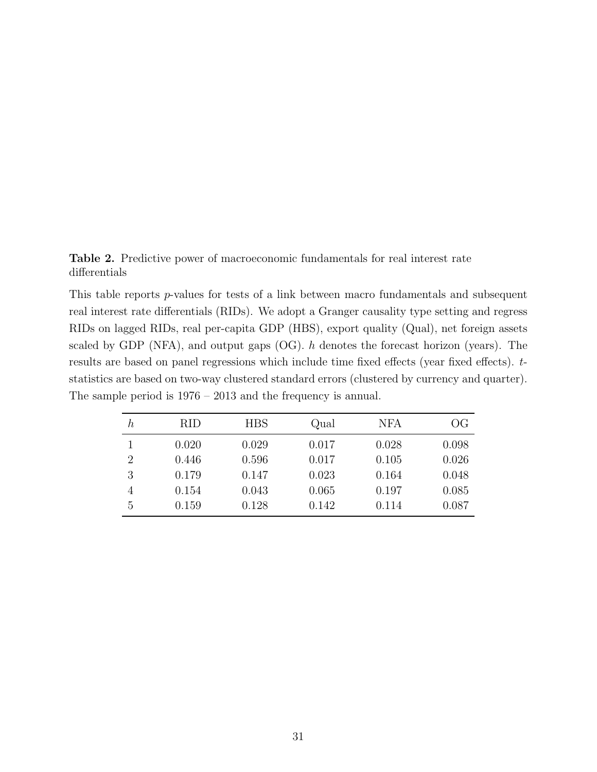<span id="page-32-0"></span>Table 2. Predictive power of macroeconomic fundamentals for real interest rate differentials

This table reports p-values for tests of a link between macro fundamentals and subsequent real interest rate differentials (RIDs). We adopt a Granger causality type setting and regress RIDs on lagged RIDs, real per-capita GDP (HBS), export quality (Qual), net foreign assets scaled by GDP (NFA), and output gaps  $(OG)$ . h denotes the forecast horizon (years). The results are based on panel regressions which include time fixed effects (year fixed effects). tstatistics are based on two-way clustered standard errors (clustered by currency and quarter). The sample period is 1976 – 2013 and the frequency is annual.

| $\boldsymbol{h}$ | <b>RID</b> | <b>HBS</b> | Qual  | <b>NFA</b> | OG    |
|------------------|------------|------------|-------|------------|-------|
|                  | 0.020      | 0.029      | 0.017 | 0.028      | 0.098 |
| $\overline{2}$   | 0.446      | 0.596      | 0.017 | 0.105      | 0.026 |
| 3                | 0.179      | 0.147      | 0.023 | 0.164      | 0.048 |
| 4                | 0.154      | 0.043      | 0.065 | 0.197      | 0.085 |
| 5                | 0.159      | 0.128      | 0.142 | 0.114      | 0.087 |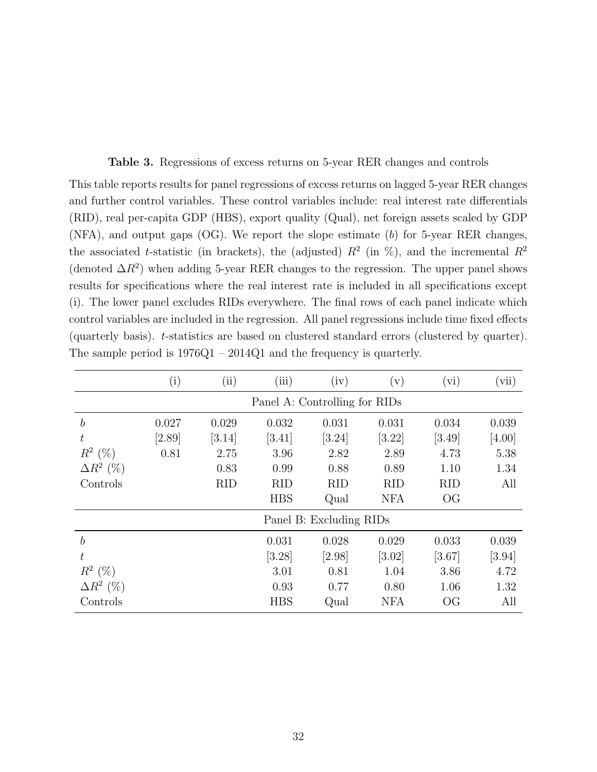<span id="page-33-0"></span>Table 3. Regressions of excess returns on 5-year RER changes and controls

This table reports results for panel regressions of excess returns on lagged 5-year RER changes and further control variables. These control variables include: real interest rate differentials (RID), real per-capita GDP (HBS), export quality (Qual), net foreign assets scaled by GDP (NFA), and output gaps (OG). We report the slope estimate (b) for 5-year RER changes, the associated t-statistic (in brackets), the (adjusted)  $R^2$  (in %), and the incremental  $R^2$ (denoted  $\Delta R^2$ ) when adding 5-year RER changes to the regression. The upper panel shows results for specifications where the real interest rate is included in all specifications except (i). The lower panel excludes RIDs everywhere. The final rows of each panel indicate which control variables are included in the regression. All panel regressions include time fixed effects (quarterly basis). t-statistics are based on clustered standard errors (clustered by quarter). The sample period is 1976Q1 – 2014Q1 and the frequency is quarterly.

|                  | $\rm(i)$ | $\left( ii \right)$ | (iii)      | (iv)                          | $(\rm v)$  | $(\mathrm{vi})$        | (vii)    |
|------------------|----------|---------------------|------------|-------------------------------|------------|------------------------|----------|
|                  |          |                     |            | Panel A: Controlling for RIDs |            |                        |          |
| $\boldsymbol{b}$ | 0.027    | 0.029               | 0.032      | 0.031                         | 0.031      | 0.034                  | 0.039    |
| t                | [2.89]   | [3.14]              | [3.41]     | [3.24]                        | [3.22]     | $[3.49]$               | [4.00]   |
| $R^2$ (%)        | 0.81     | 2.75                | 3.96       | 2.82                          | 2.89       | 4.73                   | 5.38     |
| $\Delta R^2$ (%) |          | 0.83                | 0.99       | 0.88                          | 0.89       | 1.10                   | 1.34     |
| Controls         |          | <b>RID</b>          | <b>RID</b> | <b>RID</b>                    | <b>RID</b> | <b>RID</b>             | All      |
|                  |          |                     | <b>HBS</b> | Qual                          | <b>NFA</b> | $\overline{\text{OG}}$ |          |
|                  |          |                     |            | Panel B: Excluding RIDs       |            |                        |          |
| $\boldsymbol{b}$ |          |                     | 0.031      | 0.028                         | 0.029      | 0.033                  | 0.039    |
| t                |          |                     | [3.28]     | [2.98]                        | $[3.02]$   | $[3.67]$               | $[3.94]$ |
| $R^2$ (%)        |          |                     | 3.01       | 0.81                          | 1.04       | 3.86                   | 4.72     |
| $\Delta R^2$ (%) |          |                     | 0.93       | 0.77                          | 0.80       | 1.06                   | 1.32     |
| Controls         |          |                     | <b>HBS</b> | Qual                          | <b>NFA</b> | $\overline{\text{OG}}$ | All      |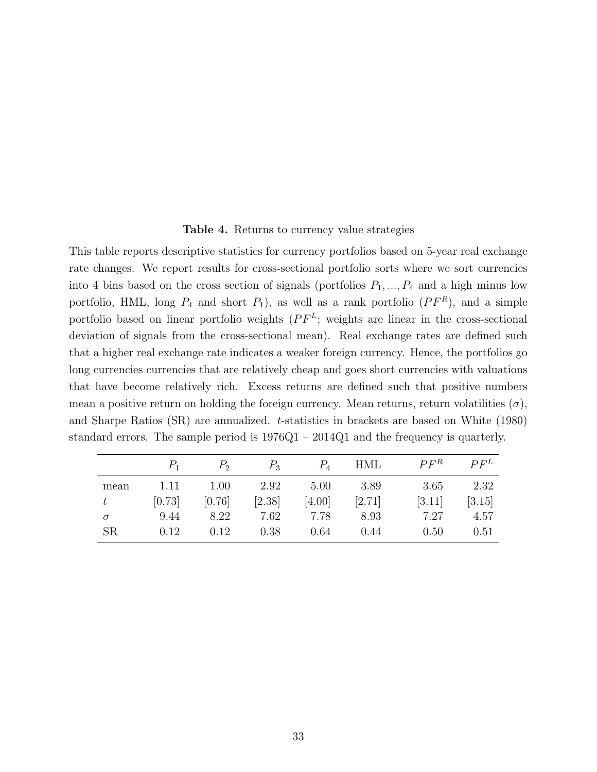#### Table 4. Returns to currency value strategies

<span id="page-34-0"></span>This table reports descriptive statistics for currency portfolios based on 5-year real exchange rate changes. We report results for cross-sectional portfolio sorts where we sort currencies into 4 bins based on the cross section of signals (portfolios  $P_1, ..., P_4$  and a high minus low portfolio, HML, long  $P_4$  and short  $P_1$ ), as well as a rank portfolio  $(PF^R)$ , and a simple portfolio based on linear portfolio weights  $(PF^L;$  weights are linear in the cross-sectional deviation of signals from the cross-sectional mean). Real exchange rates are defined such that a higher real exchange rate indicates a weaker foreign currency. Hence, the portfolios go long currencies currencies that are relatively cheap and goes short currencies with valuations that have become relatively rich. Excess returns are defined such that positive numbers mean a positive return on holding the foreign currency. Mean returns, return volatilities  $(\sigma)$ , and Sharpe Ratios (SR) are annualized. t-statistics in brackets are based on [White](#page-30-2) [\(1980\)](#page-30-2) standard errors. The sample period is 1976Q1 – 2014Q1 and the frequency is quarterly.

|           | $P_{\rm 1}$ | P <sub>2</sub> | $P_3$  | $P_4$  | HML    | $P F^R$ | P F <sup>L</sup> |
|-----------|-------------|----------------|--------|--------|--------|---------|------------------|
| mean      | 1.11        | 1.00           | 2.92   | 5.00   | 3.89   | 3.65    | 2.32             |
| t.        | [0.73]      | [0.76]         | [2.38] | [4.00] | [2.71] | [3.11]  | [3.15]           |
| $\sigma$  | 9.44        | 8.22           | 7.62   | 7.78   | 8.93   | 7.27    | 4.57             |
| <b>SR</b> | 0.12        | 0.12           | 0.38   | 0.64   | 0.44   | 0.50    | 0.51             |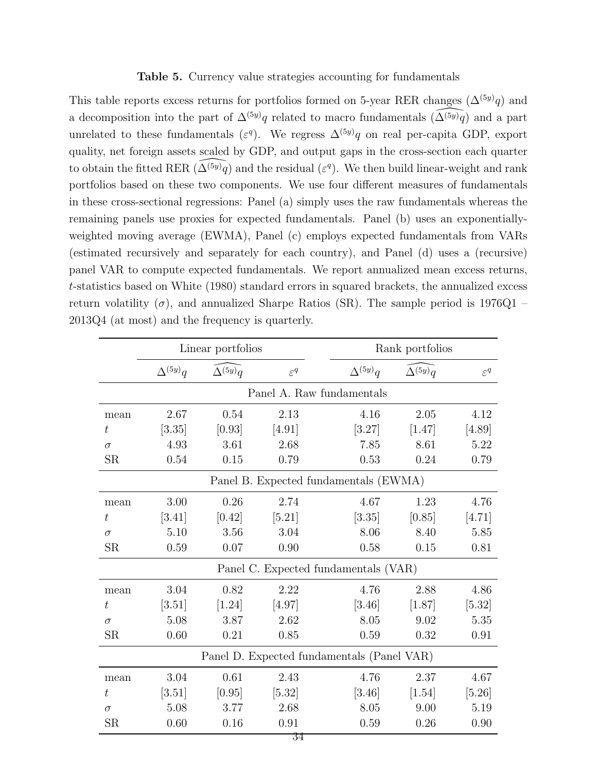#### Table 5. Currency value strategies accounting for fundamentals

<span id="page-35-0"></span>This table reports excess returns for portfolios formed on 5-year RER changes  $(\Delta^{(5y)}q)$  and a decomposition into the part of  $\Delta^{(5y)}q$  related to macro fundamentals  $(\widetilde{\Delta^{(5y)}q})$  and a part unrelated to these fundamentals ( $\varepsilon^q$ ). We regress  $\Delta^{(5y)}q$  on real per-capita GDP, export quality, net foreign assets scaled by GDP, and output gaps in the cross-section each quarter to obtain the fitted RER  $(\widehat{\Delta^{(5y)}q})$  and the residual ( $\varepsilon^q$ ). We then build linear-weight and rank portfolios based on these two components. We use four different measures of fundamentals in these cross-sectional regressions: Panel (a) simply uses the raw fundamentals whereas the remaining panels use proxies for expected fundamentals. Panel (b) uses an exponentiallyweighted moving average (EWMA), Panel (c) employs expected fundamentals from VARs (estimated recursively and separately for each country), and Panel (d) uses a (recursive) panel VAR to compute expected fundamentals. We report annualized mean excess returns, t-statistics based on [White](#page-30-2) [\(1980\)](#page-30-2) standard errors in squared brackets, the annualized excess return volatility ( $\sigma$ ), and annualized Sharpe Ratios (SR). The sample period is 1976Q1 – 2013Q4 (at most) and the frequency is quarterly.

|                  |                  | Linear portfolios |                 |                                            | Rank portfolios  |                 |
|------------------|------------------|-------------------|-----------------|--------------------------------------------|------------------|-----------------|
|                  | $\Delta^{(5y)}q$ | $\Delta^{(5y)}q$  | $\varepsilon^q$ | $\Delta^{(5y)}q$                           | $\Delta^{(5y)}q$ | $\varepsilon^q$ |
|                  |                  |                   |                 | Panel A. Raw fundamentals                  |                  |                 |
| mean             | 2.67             | 0.54              | 2.13            | 4.16                                       | 2.05             | 4.12            |
| $t\,$            | [3.35]           | [0.93]            | [4.91]          | [3.27]                                     | [1.47]           | [4.89]          |
| $\sigma$         | 4.93             | 3.61              | 2.68            | 7.85                                       | 8.61             | 5.22            |
| SR               | 0.54             | 0.15              | 0.79            | 0.53                                       | 0.24             | 0.79            |
|                  |                  |                   |                 | Panel B. Expected fundamentals (EWMA)      |                  |                 |
| mean             | 3.00             | 0.26              | 2.74            | 4.67                                       | 1.23             | 4.76            |
| t                | [3.41]           | [0.42]            | [5.21]          | [3.35]                                     | [0.85]           | [4.71]          |
| $\sigma$         | 5.10             | 3.56              | 3.04            | 8.06                                       | 8.40             | 5.85            |
| SR               | 0.59             | 0.07              | 0.90            | 0.58                                       | 0.15             | 0.81            |
|                  |                  |                   |                 | Panel C. Expected fundamentals (VAR)       |                  |                 |
| mean             | 3.04             | 0.82              | 2.22            | 4.76                                       | 2.88             | 4.86            |
| $\it t$          | $[3.51]$         | $[1.24]$          | [4.97]          | [3.46]                                     | [1.87]           | $[5.32]$        |
| $\sigma$         | 5.08             | 3.87              | 2.62            | 8.05                                       | 9.02             | 5.35            |
| SR               | 0.60             | 0.21              | 0.85            | 0.59                                       | 0.32             | 0.91            |
|                  |                  |                   |                 | Panel D. Expected fundamentals (Panel VAR) |                  |                 |
| mean             | 3.04             | 0.61              | 2.43            | 4.76                                       | 2.37             | 4.67            |
| $\boldsymbol{t}$ | [3.51]           | [0.95]            | $[5.32]$        | $[3.46]$                                   | $[1.54]$         | [5.26]          |
| $\sigma$         | 5.08             | 3.77              | 2.68            | 8.05                                       | 9.00             | 5.19            |
| SR               | 0.60             | 0.16              | 0.91            | 0.59                                       | 0.26             | 0.90            |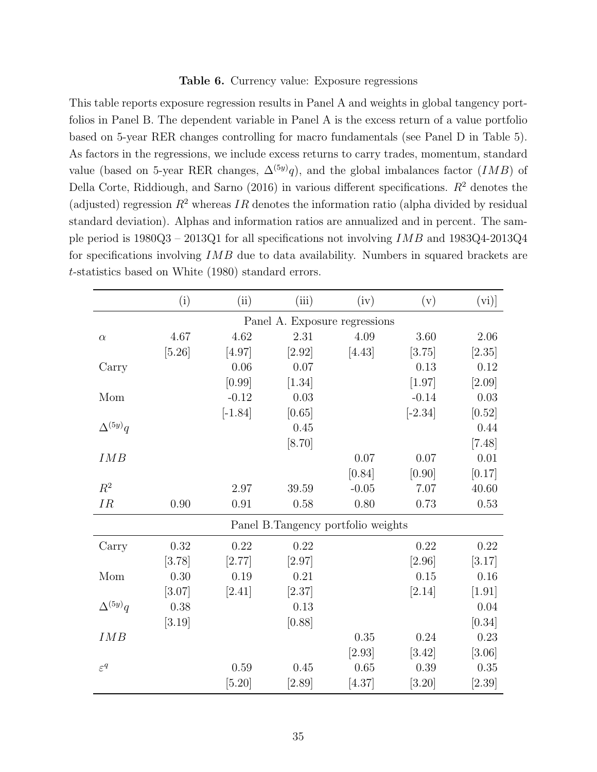#### Table 6. Currency value: Exposure regressions

<span id="page-36-0"></span>This table reports exposure regression results in Panel A and weights in global tangency portfolios in Panel B. The dependent variable in Panel A is the excess return of a value portfolio based on 5-year RER changes controlling for macro fundamentals (see Panel D in Table [5\)](#page-35-0). As factors in the regressions, we include excess returns to carry trades, momentum, standard value (based on 5-year RER changes,  $\Delta^{(5y)}q$ ), and the global imbalances factor (*IMB*) of [Della Corte, Riddiough, and Sarno](#page-27-10) [\(2016\)](#page-27-10) in various different specifications.  $R^2$  denotes the (adjusted) regression  $R^2$  whereas IR denotes the information ratio (alpha divided by residual standard deviation). Alphas and information ratios are annualized and in percent. The sample period is  $1980Q3 - 2013Q1$  for all specifications not involving  $IMB$  and  $1983Q4-2013Q4$ for specifications involving IMB due to data availability. Numbers in squared brackets are t-statistics based on [White](#page-30-2) [\(1980\)](#page-30-2) standard errors.

|                  | (i)      | (ii)      | (iii)                              | (iv)    | (v)       | (vi)]    |
|------------------|----------|-----------|------------------------------------|---------|-----------|----------|
|                  |          |           | Panel A. Exposure regressions      |         |           |          |
| $\alpha$         | 4.67     | 4.62      | 2.31                               | 4.09    | 3.60      | $2.06\,$ |
|                  | [5.26]   | [4.97]    | $[2.92]$                           | [4.43]  | [3.75]    | [2.35]   |
| Carry            |          | 0.06      | 0.07                               |         | 0.13      | 0.12     |
|                  |          | [0.99]    | $[1.34]$                           |         | [1.97]    | [2.09]   |
| Mom              |          | $-0.12$   | 0.03                               |         | $-0.14$   | $0.03\,$ |
|                  |          | $[-1.84]$ | [0.65]                             |         | $[-2.34]$ | [0.52]   |
| $\Delta^{(5y)}q$ |          |           | 0.45                               |         |           | 0.44     |
|                  |          |           | $[8.70]$                           |         |           | $[7.48]$ |
| IMB              |          |           |                                    | 0.07    | 0.07      | 0.01     |
|                  |          |           |                                    | [0.84]  | [0.90]    | [0.17]   |
| $R^2$            |          | 2.97      | 39.59                              | $-0.05$ | 7.07      | 40.60    |
| IR               | $0.90\,$ | 0.91      | 0.58                               | 0.80    | 0.73      | 0.53     |
|                  |          |           | Panel B.Tangency portfolio weights |         |           |          |
| Carry            | 0.32     | 0.22      | 0.22                               |         | 0.22      | 0.22     |
|                  | [3.78]   | [2.77]    | $[2.97]$                           |         | [2.96]    | [3.17]   |
| Mom              | 0.30     | 0.19      | 0.21                               |         | 0.15      | $0.16\,$ |
|                  | [3.07]   | [2.41]    | [2.37]                             |         | [2.14]    | $[1.91]$ |
| $\Delta^{(5y)}q$ | 0.38     |           | 0.13                               |         |           | 0.04     |
|                  | [3.19]   |           | [0.88]                             |         |           | [0.34]   |
| IMB              |          |           |                                    | 0.35    | 0.24      | 0.23     |
|                  |          |           |                                    | [2.93]  | $[3.42]$  | [3.06]   |
| $\varepsilon^q$  |          | 0.59      | 0.45                               | 0.65    | 0.39      | 0.35     |
|                  |          | $[5.20]$  | $[2.89]$                           | [4.37]  | $[3.20]$  | $[2.39]$ |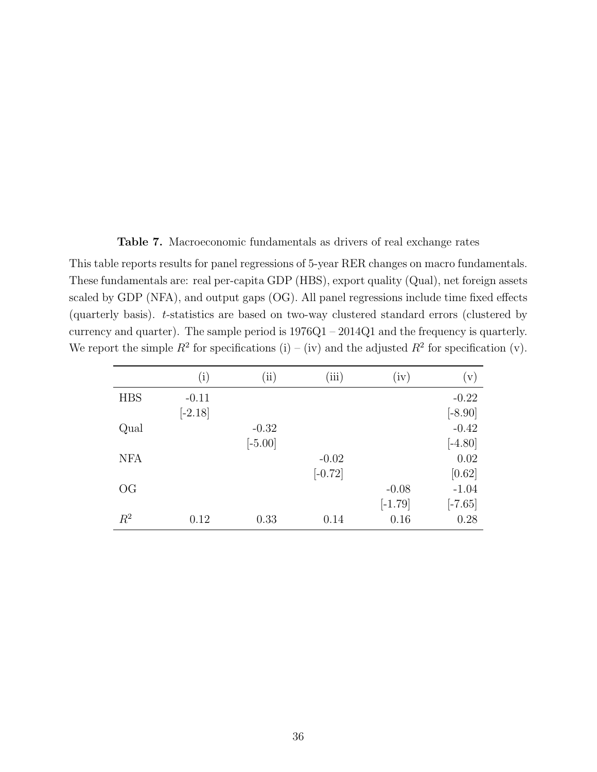Table 7. Macroeconomic fundamentals as drivers of real exchange rates

<span id="page-37-0"></span>This table reports results for panel regressions of 5-year RER changes on macro fundamentals. These fundamentals are: real per-capita GDP (HBS), export quality (Qual), net foreign assets scaled by GDP (NFA), and output gaps (OG). All panel regressions include time fixed effects (quarterly basis). t-statistics are based on two-way clustered standard errors (clustered by currency and quarter). The sample period is 1976Q1 – 2014Q1 and the frequency is quarterly. We report the simple  $R^2$  for specifications (i) – (iv) and the adjusted  $R^2$  for specification (v).

|                        | (i)       | $\rm(ii)$ | (iii)     | (iv)      | (v)                  |
|------------------------|-----------|-----------|-----------|-----------|----------------------|
| <b>HBS</b>             | $-0.11$   |           |           |           | $-0.22$              |
|                        | $[-2.18]$ |           |           |           | $[-8.90]$            |
| Qual                   |           | $-0.32$   |           |           | $-0.42$              |
|                        |           | $[-5.00]$ |           |           | $[-4.80]$            |
| <b>NFA</b>             |           |           | $-0.02$   |           | 0.02                 |
|                        |           |           | $[-0.72]$ |           | [0.62]               |
| $\overline{\text{OG}}$ |           |           |           | $-0.08$   | $-1.04$              |
|                        |           |           |           | $[-1.79]$ | $\left[-7.65\right]$ |
| $R^2$                  | 0.12      | 0.33      | 0.14      | 0.16      | 0.28                 |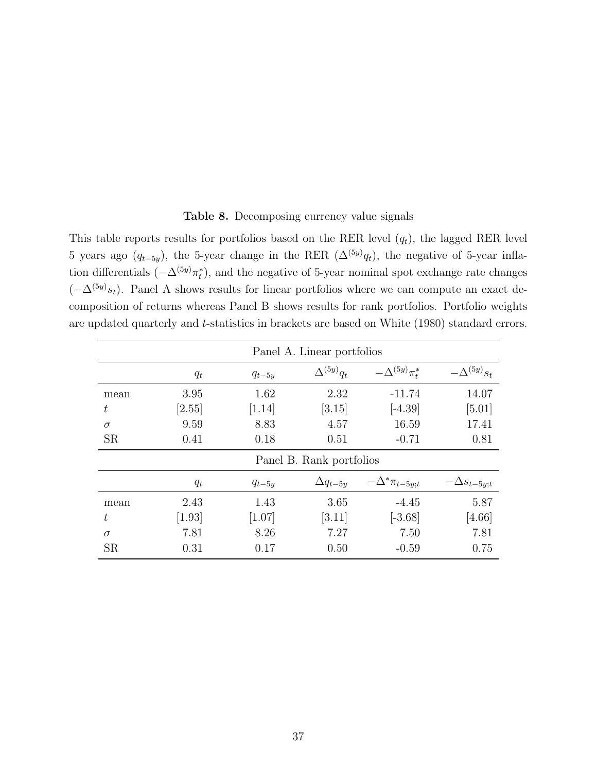|  | Table 8. Decomposing currency value signals |  |  |  |  |
|--|---------------------------------------------|--|--|--|--|
|--|---------------------------------------------|--|--|--|--|

<span id="page-38-0"></span>This table reports results for portfolios based on the RER level  $(q_t)$ , the lagged RER level 5 years ago  $(q_{t-5y})$ , the 5-year change in the RER  $(\Delta^{(5y)}q_t)$ , the negative of 5-year inflation differentials  $(-\Delta^{(5y)}\pi_t^*)$ , and the negative of 5-year nominal spot exchange rate changes  $(-\Delta^{(5y)}s_t)$ . Panel A shows results for linear portfolios where we can compute an exact decomposition of returns whereas Panel B shows results for rank portfolios. Portfolio weights are updated quarterly and t-statistics in brackets are based on [White](#page-30-2) [\(1980\)](#page-30-2) standard errors.

|           |                          |            | Panel A. Linear portfolios |                         |                      |  |  |  |
|-----------|--------------------------|------------|----------------------------|-------------------------|----------------------|--|--|--|
|           | $q_t$                    | $q_{t-5y}$ | $\Delta^{(5y)}q_t$         | $-\Delta^{(5y)}\pi^*_t$ | $-\Delta^{(5y)}s_t$  |  |  |  |
| mean      | 3.95                     | 1.62       | 2.32                       | $-11.74$                | 14.07                |  |  |  |
| t         | [2.55]                   | [1.14]     | [3.15]                     | $[-4.39]$               | [5.01]               |  |  |  |
| $\sigma$  | 9.59                     | 8.83       | 4.57                       | 16.59                   | 17.41                |  |  |  |
| <b>SR</b> | 0.41                     | 0.18       | 0.51                       | $-0.71$                 | 0.81                 |  |  |  |
|           | Panel B. Rank portfolios |            |                            |                         |                      |  |  |  |
|           | $q_t$                    | $q_{t-5y}$ | $\Delta q_{t-5y}$          | $-\Delta^*\pi_{t-5y;t}$ | $-\Delta s_{t-5y;t}$ |  |  |  |
| mean      | 2.43                     | 1.43       | 3.65                       | $-4.45$                 | 5.87                 |  |  |  |
| t         | $[1.93]$                 | [1.07]     | [3.11]                     | $[-3.68]$               | $[4.66]$             |  |  |  |
| $\sigma$  | 7.81                     | 8.26       | 7.27                       | 7.50                    | 7.81                 |  |  |  |
| <b>SR</b> | 0.31                     | 0.17       | 0.50                       | $-0.59$                 | 0.75                 |  |  |  |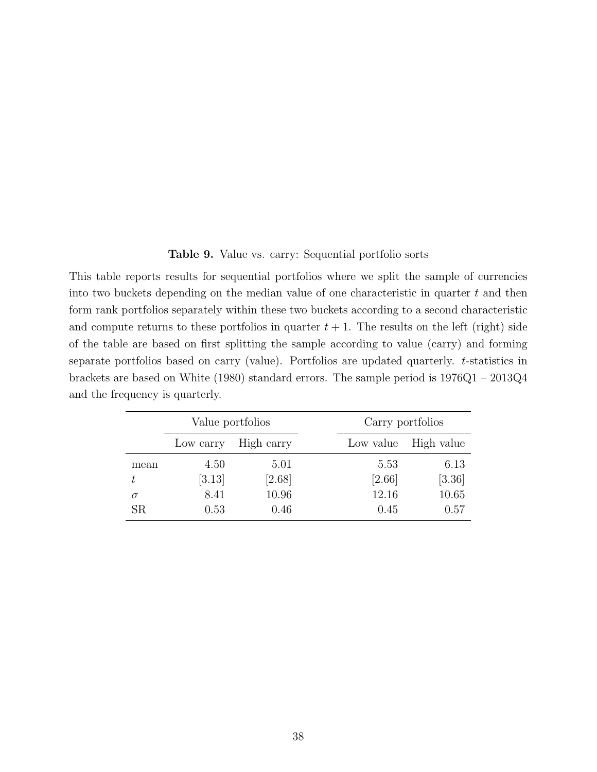Table 9. Value vs. carry: Sequential portfolio sorts

<span id="page-39-0"></span>This table reports results for sequential portfolios where we split the sample of currencies into two buckets depending on the median value of one characteristic in quarter t and then form rank portfolios separately within these two buckets according to a second characteristic and compute returns to these portfolios in quarter  $t + 1$ . The results on the left (right) side of the table are based on first splitting the sample according to value (carry) and forming separate portfolios based on carry (value). Portfolios are updated quarterly. t-statistics in brackets are based on [White](#page-30-2) [\(1980\)](#page-30-2) standard errors. The sample period is 1976Q1 – 2013Q4 and the frequency is quarterly.

|             | Value portfolios |            |           |        | Carry portfolios |
|-------------|------------------|------------|-----------|--------|------------------|
|             | Low carry        | High carry | Low value |        | High value       |
| mean        | 4.50             | 5.01       |           | 5.53   | 6.13             |
| t.          | [3.13]           | $[2.68]$   |           | [2.66] | $[3.36]$         |
| $\sigma$    | 8.41             | 10.96      |           | 12.16  | 10.65            |
| $_{\rm SR}$ | 0.53             | 0.46       |           | 0.45   | 0.57             |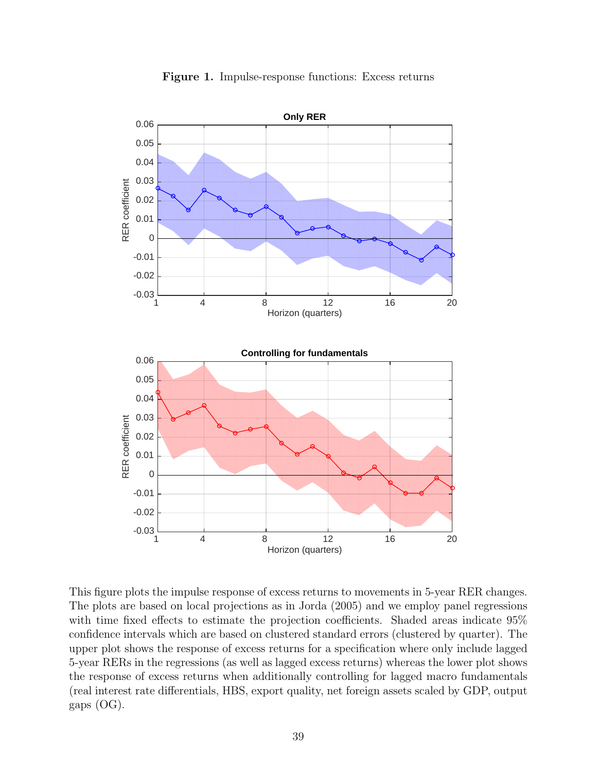<span id="page-40-0"></span>

Figure 1. Impulse-response functions: Excess returns

This figure plots the impulse response of excess returns to movements in 5-year RER changes. The plots are based on local projections as in [Jorda](#page-28-8) [\(2005\)](#page-28-8) and we employ panel regressions with time fixed effects to estimate the projection coefficients. Shaded areas indicate 95% confidence intervals which are based on clustered standard errors (clustered by quarter). The upper plot shows the response of excess returns for a specification where only include lagged 5-year RERs in the regressions (as well as lagged excess returns) whereas the lower plot shows the response of excess returns when additionally controlling for lagged macro fundamentals (real interest rate differentials, HBS, export quality, net foreign assets scaled by GDP, output gaps (OG).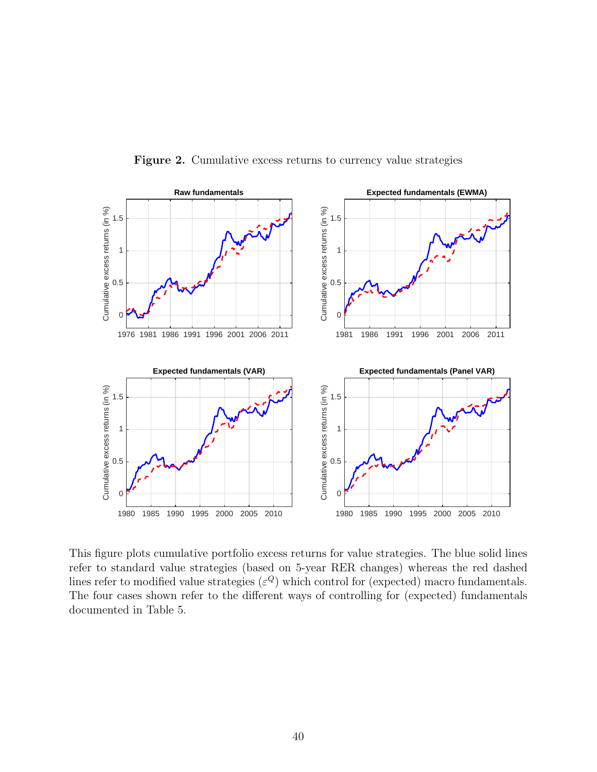<span id="page-41-0"></span>

Figure 2. Cumulative excess returns to currency value strategies

This figure plots cumulative portfolio excess returns for value strategies. The blue solid lines refer to standard value strategies (based on 5-year RER changes) whereas the red dashed lines refer to modified value strategies  $(\varepsilon^Q)$  which control for (expected) macro fundamentals. The four cases shown refer to the different ways of controlling for (expected) fundamentals documented in Table [5.](#page-35-0)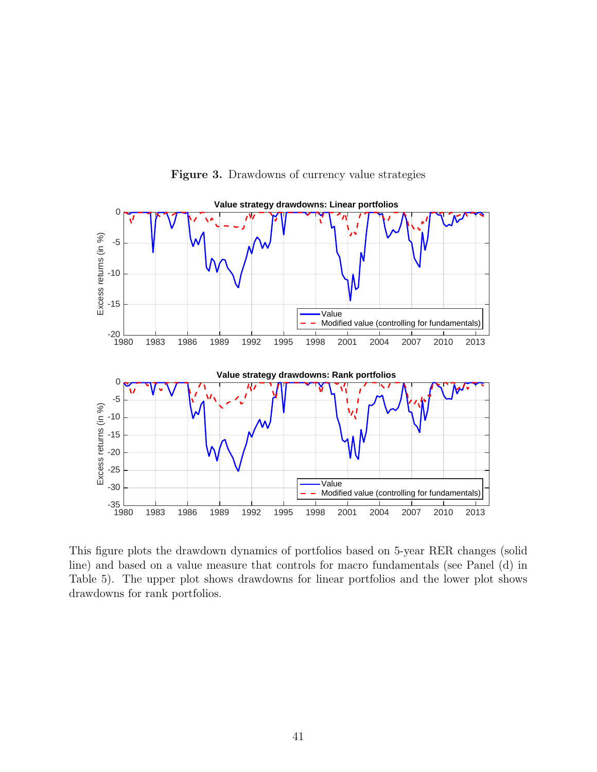<span id="page-42-0"></span>

Figure 3. Drawdowns of currency value strategies

This figure plots the drawdown dynamics of portfolios based on 5-year RER changes (solid line) and based on a value measure that controls for macro fundamentals (see Panel (d) in Table [5\)](#page-35-0). The upper plot shows drawdowns for linear portfolios and the lower plot shows drawdowns for rank portfolios.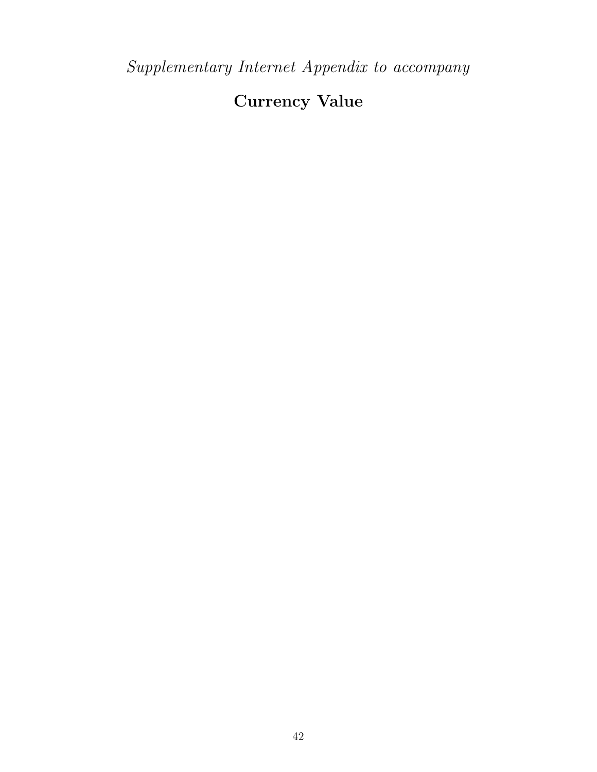# Currency Value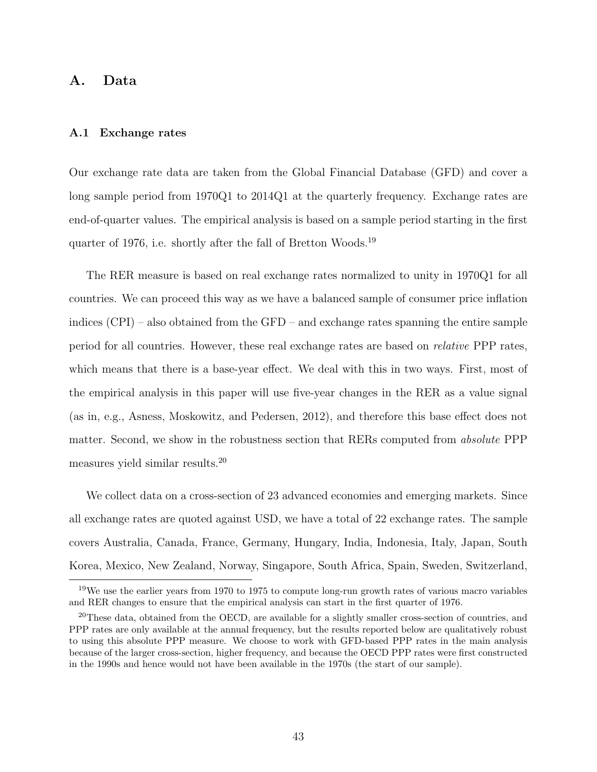#### A. Data

#### A.1 Exchange rates

Our exchange rate data are taken from the Global Financial Database (GFD) and cover a long sample period from 1970Q1 to 2014Q1 at the quarterly frequency. Exchange rates are end-of-quarter values. The empirical analysis is based on a sample period starting in the first quarter of 1976, i.e. shortly after the fall of Bretton Woods.[19](#page-44-0)

The RER measure is based on real exchange rates normalized to unity in 1970Q1 for all countries. We can proceed this way as we have a balanced sample of consumer price inflation indices (CPI) – also obtained from the GFD – and exchange rates spanning the entire sample period for all countries. However, these real exchange rates are based on relative PPP rates, which means that there is a base-year effect. We deal with this in two ways. First, most of the empirical analysis in this paper will use five-year changes in the RER as a value signal (as in, e.g., [Asness, Moskowitz, and Pedersen,](#page-27-2) [2012\)](#page-27-2), and therefore this base effect does not matter. Second, we show in the robustness section that RERs computed from *absolute* PPP measures yield similar results.[20](#page-44-1)

We collect data on a cross-section of 23 advanced economies and emerging markets. Since all exchange rates are quoted against USD, we have a total of 22 exchange rates. The sample covers Australia, Canada, France, Germany, Hungary, India, Indonesia, Italy, Japan, South Korea, Mexico, New Zealand, Norway, Singapore, South Africa, Spain, Sweden, Switzerland,

<span id="page-44-0"></span><sup>&</sup>lt;sup>19</sup>We use the earlier years from 1970 to 1975 to compute long-run growth rates of various macro variables and RER changes to ensure that the empirical analysis can start in the first quarter of 1976.

<span id="page-44-1"></span><sup>&</sup>lt;sup>20</sup>These data, obtained from the OECD, are available for a slightly smaller cross-section of countries, and PPP rates are only available at the annual frequency, but the results reported below are qualitatively robust to using this absolute PPP measure. We choose to work with GFD-based PPP rates in the main analysis because of the larger cross-section, higher frequency, and because the OECD PPP rates were first constructed in the 1990s and hence would not have been available in the 1970s (the start of our sample).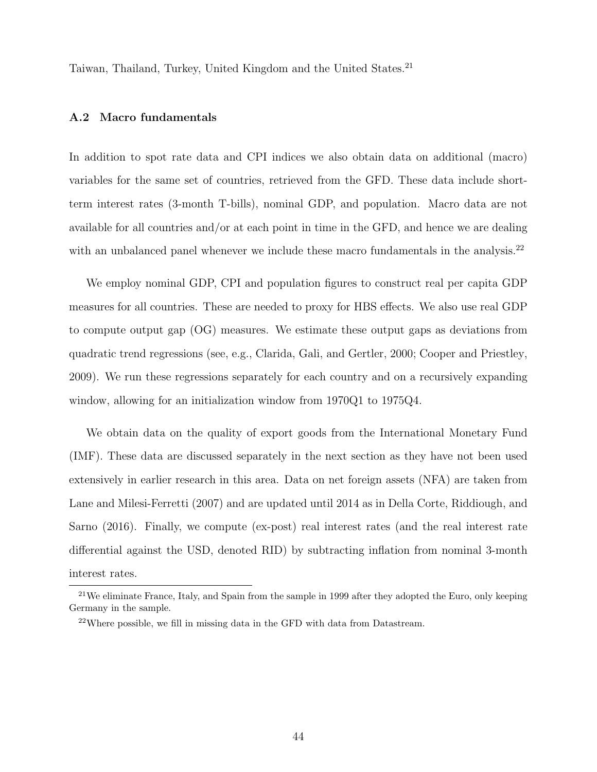Taiwan, Thailand, Turkey, United Kingdom and the United States.<sup>[21](#page-45-0)</sup>

#### A.2 Macro fundamentals

In addition to spot rate data and CPI indices we also obtain data on additional (macro) variables for the same set of countries, retrieved from the GFD. These data include shortterm interest rates (3-month T-bills), nominal GDP, and population. Macro data are not available for all countries and/or at each point in time in the GFD, and hence we are dealing with an unbalanced panel whenever we include these macro fundamentals in the analysis.<sup>[22](#page-45-1)</sup>

We employ nominal GDP, CPI and population figures to construct real per capita GDP measures for all countries. These are needed to proxy for HBS effects. We also use real GDP to compute output gap (OG) measures. We estimate these output gaps as deviations from quadratic trend regressions (see, e.g., [Clarida, Gali, and Gertler,](#page-27-13) [2000;](#page-27-13) [Cooper and Priestley,](#page-27-14) [2009\)](#page-27-14). We run these regressions separately for each country and on a recursively expanding window, allowing for an initialization window from 1970Q1 to 1975Q4.

We obtain data on the quality of export goods from the International Monetary Fund (IMF). These data are discussed separately in the next section as they have not been used extensively in earlier research in this area. Data on net foreign assets (NFA) are taken from [Lane and Milesi-Ferretti](#page-29-15) [\(2007\)](#page-29-15) and are updated until 2014 as in [Della Corte, Riddiough, and](#page-27-10) [Sarno](#page-27-10) [\(2016\)](#page-27-10). Finally, we compute (ex-post) real interest rates (and the real interest rate differential against the USD, denoted RID) by subtracting inflation from nominal 3-month interest rates.

<span id="page-45-0"></span><sup>&</sup>lt;sup>21</sup>We eliminate France, Italy, and Spain from the sample in 1999 after they adopted the Euro, only keeping Germany in the sample.

<span id="page-45-1"></span><sup>22</sup>Where possible, we fill in missing data in the GFD with data from Datastream.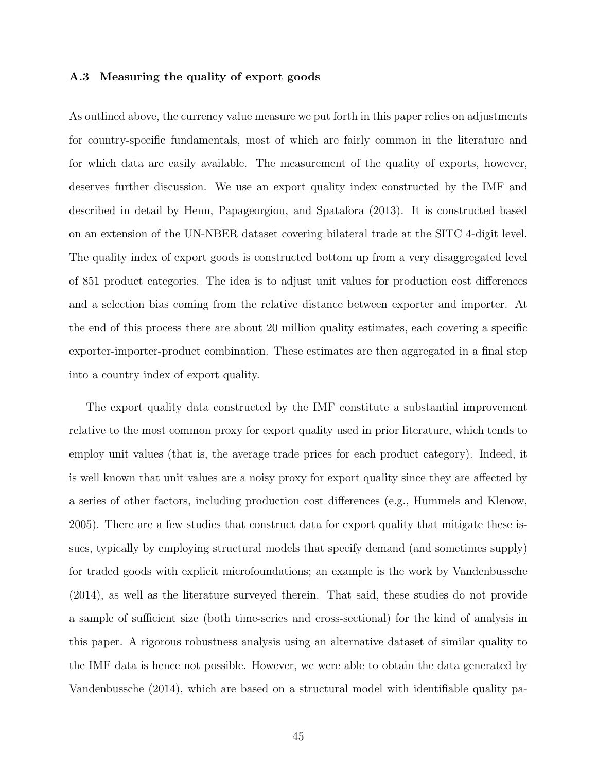#### A.3 Measuring the quality of export goods

As outlined above, the currency value measure we put forth in this paper relies on adjustments for country-specific fundamentals, most of which are fairly common in the literature and for which data are easily available. The measurement of the quality of exports, however, deserves further discussion. We use an export quality index constructed by the IMF and described in detail by [Henn, Papageorgiou, and Spatafora](#page-28-14) [\(2013\)](#page-28-14). It is constructed based on an extension of the UN-NBER dataset covering bilateral trade at the SITC 4-digit level. The quality index of export goods is constructed bottom up from a very disaggregated level of 851 product categories. The idea is to adjust unit values for production cost differences and a selection bias coming from the relative distance between exporter and importer. At the end of this process there are about 20 million quality estimates, each covering a specific exporter-importer-product combination. These estimates are then aggregated in a final step into a country index of export quality.

The export quality data constructed by the IMF constitute a substantial improvement relative to the most common proxy for export quality used in prior literature, which tends to employ unit values (that is, the average trade prices for each product category). Indeed, it is well known that unit values are a noisy proxy for export quality since they are affected by a series of other factors, including production cost differences (e.g., [Hummels and Klenow,](#page-28-15) [2005\)](#page-28-15). There are a few studies that construct data for export quality that mitigate these issues, typically by employing structural models that specify demand (and sometimes supply) for traded goods with explicit microfoundations; an example is the work by [Vandenbussche](#page-30-4) [\(2014\)](#page-30-4), as well as the literature surveyed therein. That said, these studies do not provide a sample of sufficient size (both time-series and cross-sectional) for the kind of analysis in this paper. A rigorous robustness analysis using an alternative dataset of similar quality to the IMF data is hence not possible. However, we were able to obtain the data generated by [Vandenbussche](#page-30-4) [\(2014\)](#page-30-4), which are based on a structural model with identifiable quality pa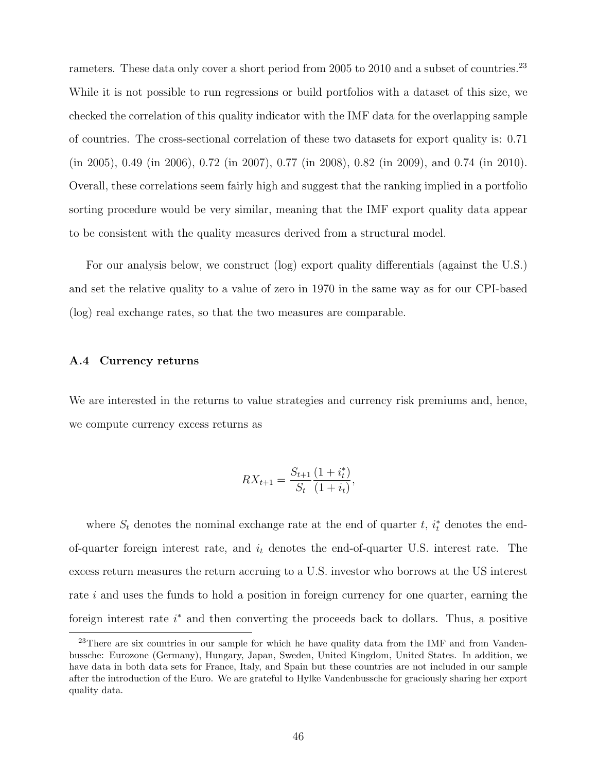rameters. These data only cover a short period from 2005 to 2010 and a subset of countries.<sup>[23](#page-47-0)</sup> While it is not possible to run regressions or build portfolios with a dataset of this size, we checked the correlation of this quality indicator with the IMF data for the overlapping sample of countries. The cross-sectional correlation of these two datasets for export quality is: 0.71 (in 2005), 0.49 (in 2006), 0.72 (in 2007), 0.77 (in 2008), 0.82 (in 2009), and 0.74 (in 2010). Overall, these correlations seem fairly high and suggest that the ranking implied in a portfolio sorting procedure would be very similar, meaning that the IMF export quality data appear to be consistent with the quality measures derived from a structural model.

For our analysis below, we construct (log) export quality differentials (against the U.S.) and set the relative quality to a value of zero in 1970 in the same way as for our CPI-based (log) real exchange rates, so that the two measures are comparable.

#### A.4 Currency returns

We are interested in the returns to value strategies and currency risk premiums and, hence, we compute currency excess returns as

$$
RX_{t+1} = \frac{S_{t+1}}{S_t} \frac{(1+i_t^*)}{(1+i_t)},
$$

where  $S_t$  denotes the nominal exchange rate at the end of quarter t,  $i_t^*$  denotes the endof-quarter foreign interest rate, and  $i_t$  denotes the end-of-quarter U.S. interest rate. The excess return measures the return accruing to a U.S. investor who borrows at the US interest rate i and uses the funds to hold a position in foreign currency for one quarter, earning the foreign interest rate  $i^*$  and then converting the proceeds back to dollars. Thus, a positive

<span id="page-47-0"></span><sup>&</sup>lt;sup>23</sup>There are six countries in our sample for which he have quality data from the IMF and from Vandenbussche: Eurozone (Germany), Hungary, Japan, Sweden, United Kingdom, United States. In addition, we have data in both data sets for France, Italy, and Spain but these countries are not included in our sample after the introduction of the Euro. We are grateful to Hylke Vandenbussche for graciously sharing her export quality data.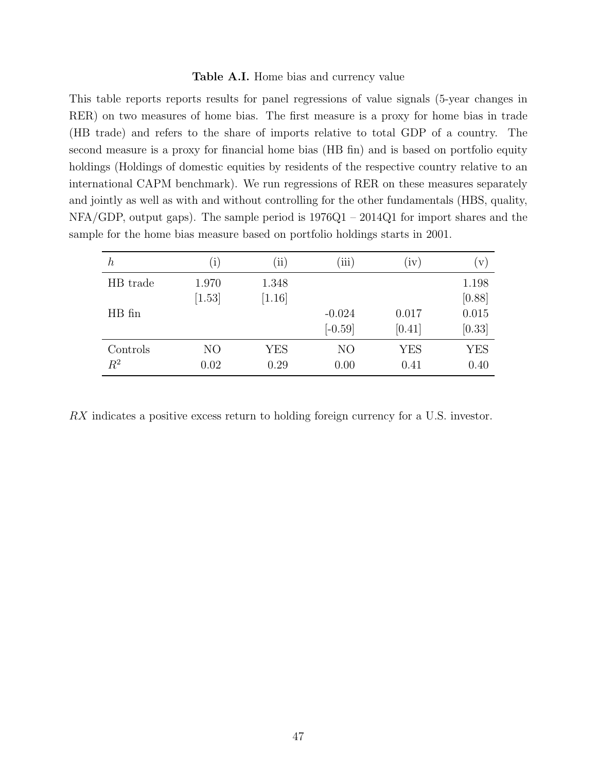#### Table A.I. Home bias and currency value

<span id="page-48-0"></span>This table reports reports results for panel regressions of value signals (5-year changes in RER) on two measures of home bias. The first measure is a proxy for home bias in trade (HB trade) and refers to the share of imports relative to total GDP of a country. The second measure is a proxy for financial home bias (HB fin) and is based on portfolio equity holdings (Holdings of domestic equities by residents of the respective country relative to an international CAPM benchmark). We run regressions of RER on these measures separately and jointly as well as with and without controlling for the other fundamentals (HBS, quality, NFA/GDP, output gaps). The sample period is 1976Q1 – 2014Q1 for import shares and the sample for the home bias measure based on portfolio holdings starts in 2001.

| $\boldsymbol{h}$ | $\rm(i)$       | $\rm (ii)$ | (iii)          | (iv)       | V)         |
|------------------|----------------|------------|----------------|------------|------------|
| HB trade         | 1.970          | 1.348      |                |            | 1.198      |
|                  | [1.53]         | $[1.16]$   |                |            | [0.88]     |
| HB fin           |                |            | $-0.024$       | 0.017      | 0.015      |
|                  |                |            | $[-0.59]$      | [0.41]     | [0.33]     |
| Controls         | N <sub>O</sub> | <b>YES</b> | N <sub>O</sub> | <b>YES</b> | <b>YES</b> |
| $R^2$            | 0.02           | 0.29       | 0.00           | 0.41       | 0.40       |

RX indicates a positive excess return to holding foreign currency for a U.S. investor.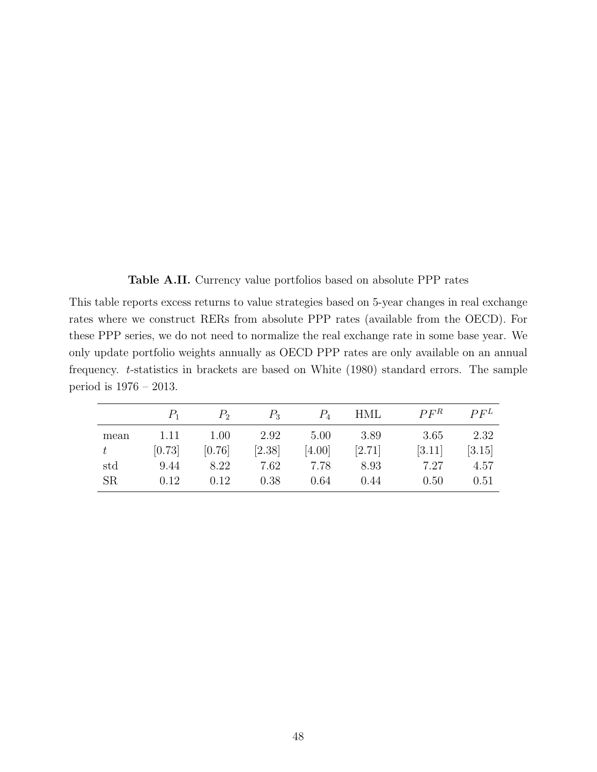Table A.II. Currency value portfolios based on absolute PPP rates

<span id="page-49-0"></span>This table reports excess returns to value strategies based on 5-year changes in real exchange rates where we construct RERs from absolute PPP rates (available from the OECD). For these PPP series, we do not need to normalize the real exchange rate in some base year. We only update portfolio weights annually as OECD PPP rates are only available on an annual frequency. t-statistics in brackets are based on [White](#page-30-2) [\(1980\)](#page-30-2) standard errors. The sample period is 1976 – 2013.

|           |        | $P_{2}$ | $P_{3}$ |        | <b>HML</b> | $P F^R$ | $P F^L$ |
|-----------|--------|---------|---------|--------|------------|---------|---------|
| mean      | 1.11   | 1.00    | 2.92    | 5.00   | 3.89       | 3.65    | 2.32    |
|           | [0.73] | [0.76]  | [2.38]  | [4.00] | [2.71]     | [3.11]  | [3.15]  |
| std       | 9.44   | 8.22    | 7.62    | 7.78   | 8.93       | 7.27    | 4.57    |
| <b>SR</b> | 0.12   | 0.12    | 0.38    | 0.64   | 0.44       | 0.50    | 0.51    |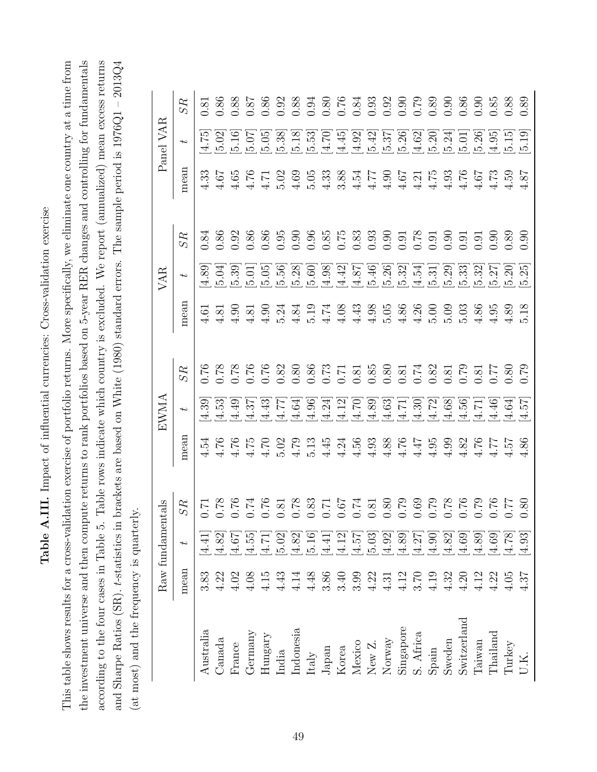Table A.III. Impact of influential currencies: Cross-validation exercise Table A.III. Impact of influential currencies: Cross-validation exercise

<span id="page-50-0"></span>the investment universe and then compute returns to rank portfolios based on 5-year RER changes and controlling for fundamentals according to the four cases in Table 5. Table rows indicate which country is excluded. We report (annualized) mean excess returns This table shows results for a cross-validation exercise of portfolio returns. More specifically, we eliminate one country at a time from and Sharpe Ratios (SR).  $t$ -statistics in brackets are based on White (1980) standard errors. The sample period is  $1976Q1 - 2013Q4$ This table shows results for a cross-validation exercise of portfolio returns. More specifically, we eliminate one country at a time from and Sharpe Ratios (SR). t-statistics in brackets are based on [White](#page-30-2) [\(1980\)](#page-30-2) standard errors. The sample period is 1976Q1 – 2013Q4 the investment universe and then compute returns to rank portfolios based on 5-year RER changes and controlling for fundamentals according to the four cases in Table [5.](#page-35-0) Table rows indicate which country is excluded. We report (annualized) mean excess returns (at most) and the frequency is quarterly. (at most) and the frequency is quarterly.

|                                                                                                                                                                                                                               |                                            | Raw fundamentals                                                 |                                                                                              |                                                | EWMA                                                                    |                    |      | VAR                                                                           |                                             |               | Panel VAR                                            |      |
|-------------------------------------------------------------------------------------------------------------------------------------------------------------------------------------------------------------------------------|--------------------------------------------|------------------------------------------------------------------|----------------------------------------------------------------------------------------------|------------------------------------------------|-------------------------------------------------------------------------|--------------------|------|-------------------------------------------------------------------------------|---------------------------------------------|---------------|------------------------------------------------------|------|
|                                                                                                                                                                                                                               | mean                                       | $\overline{ }$                                                   | SR                                                                                           | mean                                           | $\rightarrow$                                                           | ${\cal S}{\cal R}$ | mean | $\ddot{}$                                                                     | SR                                          | mean          | $\overline{ }$                                       | SR   |
| $\label{eq:substral} \begin{array}{ll} \text{Australia} \end{array}$                                                                                                                                                          | 3.83                                       | [4.41]                                                           | $\overline{C}$ .0                                                                            | 4.54                                           | 4.39                                                                    | 0.76               | 4.61 | [4.89]                                                                        | $0.84\,$                                    | 4.33          | 4.75                                                 | 0.81 |
| $\Box$ anada                                                                                                                                                                                                                  | 4.22                                       | $[4.82]$                                                         |                                                                                              | 4.76                                           | 4.53                                                                    |                    | 4.81 | [5.04]                                                                        | 0.86                                        | 4.67          | [5.02]                                               |      |
| France                                                                                                                                                                                                                        | 4.02                                       | [1.67]                                                           |                                                                                              | 4.76                                           |                                                                         |                    | 4.90 | [5.39]                                                                        | 0.92                                        | 4.65          | 5.16                                                 |      |
|                                                                                                                                                                                                                               | 4.08                                       | [4.55]                                                           |                                                                                              | 4.75                                           |                                                                         |                    | 4.81 |                                                                               |                                             | 4.76          |                                                      |      |
|                                                                                                                                                                                                                               | $4.15$                                     |                                                                  |                                                                                              | 4.70                                           |                                                                         |                    | 4.90 | [5.05]                                                                        | $\begin{array}{c} 0.86 \\ 0.95 \end{array}$ |               | 5.05                                                 |      |
|                                                                                                                                                                                                                               | 4.43                                       |                                                                  |                                                                                              | 5.02                                           |                                                                         |                    | 5.24 |                                                                               |                                             | 5.02          | 5.38                                                 |      |
| $\begin{array}{l} \text{Germany} \\ \text{Hungary} \\ \text{Indimes} \\ \text{Indonesia} \\ \text{tably} \\ \text{Japan} \\ \text{Moxico} \\ \text{New Z.} \\ \text{New Z.} \\ \text{Now Z.} \\ \text{Now Z.} \\ \end{array}$ | 4.14                                       | $\begin{array}{c} [4.71] \\ 5.02] \\ 4.82] \\ 5.16] \end{array}$ | 1969 866 866 866 866 866 866 866<br>2060 866 866 866 866 866 866<br>2060 866 866 866 866 866 | 4.79                                           | бляр до да бола боло болод<br>чание заника бълго болне<br>шинителни при |                    |      | $5.56$<br>$5.28$                                                              |                                             | 4.69          |                                                      |      |
|                                                                                                                                                                                                                               | $4.48$                                     |                                                                  |                                                                                              |                                                |                                                                         |                    |      | 5.60                                                                          |                                             | 5.05          |                                                      |      |
|                                                                                                                                                                                                                               | 3.86                                       | $[4.41]$                                                         |                                                                                              | $5.13$<br>$4.34$<br>$4.56$                     |                                                                         |                    |      |                                                                               |                                             | 4.33          | 5.18]<br>15.570<br>15.44.92]<br>14.92]               |      |
|                                                                                                                                                                                                                               | $3.40$<br>$3.99$                           |                                                                  |                                                                                              |                                                |                                                                         |                    |      |                                                                               |                                             | 3.88          |                                                      |      |
|                                                                                                                                                                                                                               |                                            |                                                                  |                                                                                              |                                                |                                                                         |                    |      |                                                                               |                                             | 4.54          |                                                      |      |
|                                                                                                                                                                                                                               | 4.22                                       | $[4.57] \\ [4.57] \\ [5.03]$                                     |                                                                                              | $4.93$                                         |                                                                         |                    |      | $\begin{array}{c} 1.98 \\ 1.42 \\ 1.87 \\ 1.49 \\ 1.54 \\ \hline \end{array}$ |                                             | 4.77          |                                                      |      |
|                                                                                                                                                                                                                               | 4.31                                       | $[4.92]$                                                         |                                                                                              |                                                |                                                                         |                    |      | 5.26                                                                          |                                             | 4.90          |                                                      |      |
| Singapore<br>S. Africa                                                                                                                                                                                                        |                                            |                                                                  |                                                                                              | $4.38$<br>$4.76$<br>$4.47$<br>$4.95$           |                                                                         |                    |      | [5.32]                                                                        |                                             | 4.67          | $\begin{bmatrix} 5.42 \\ 5.37 \\ 5.26 \end{bmatrix}$ |      |
|                                                                                                                                                                                                                               |                                            |                                                                  |                                                                                              |                                                |                                                                         |                    |      | [4.54]                                                                        |                                             |               | $\left  4.62\right $                                 |      |
|                                                                                                                                                                                                                               | $\frac{4.12}{3.70}$<br>$\frac{4.19}{4.19}$ | $[4.89]$ $[4.27]$ $[4.90]$                                       |                                                                                              |                                                |                                                                         |                    |      | 5.31                                                                          |                                             | $4.75$ $4.75$ | 5.20                                                 |      |
|                                                                                                                                                                                                                               | 4.32                                       | [4.82]                                                           |                                                                                              | 4.99                                           |                                                                         |                    |      | 5.29                                                                          |                                             | 4.93          | 5.24                                                 |      |
| ${\bf S}{\bf pain}$ ${\bf S}{\bf weden}$ ${\bf S}{\bf witzerland}$                                                                                                                                                            | $4.20$                                     | [4.69]                                                           |                                                                                              |                                                |                                                                         |                    |      | $[5.33]$                                                                      |                                             | 4.76          | 5.01                                                 |      |
| Taiwan<br>Thailand                                                                                                                                                                                                            | 4.12                                       | $[4.89]$                                                         |                                                                                              |                                                |                                                                         |                    |      | 5.32                                                                          | 0.91                                        | 4.67          |                                                      |      |
|                                                                                                                                                                                                                               | 4.22                                       | $[4.69]$                                                         |                                                                                              |                                                |                                                                         |                    |      |                                                                               | 0.90                                        | 4.73          |                                                      |      |
| Turkey                                                                                                                                                                                                                        | $4.05$                                     | [4.78]                                                           |                                                                                              | $4.82$<br>$4.76$<br>$4.57$<br>$4.36$<br>$4.36$ |                                                                         |                    | 4.89 | $[5.27$<br>$[5.20]$                                                           | 0.89                                        | 4.59          | 0.26<br>0.41<br>0.11<br>0.11<br>0.11                 |      |
|                                                                                                                                                                                                                               | 4.37                                       | [4.93]                                                           | 0.80                                                                                         |                                                |                                                                         | 0.79               | 5.18 | 5.25                                                                          | 0.90                                        | 4.87          |                                                      |      |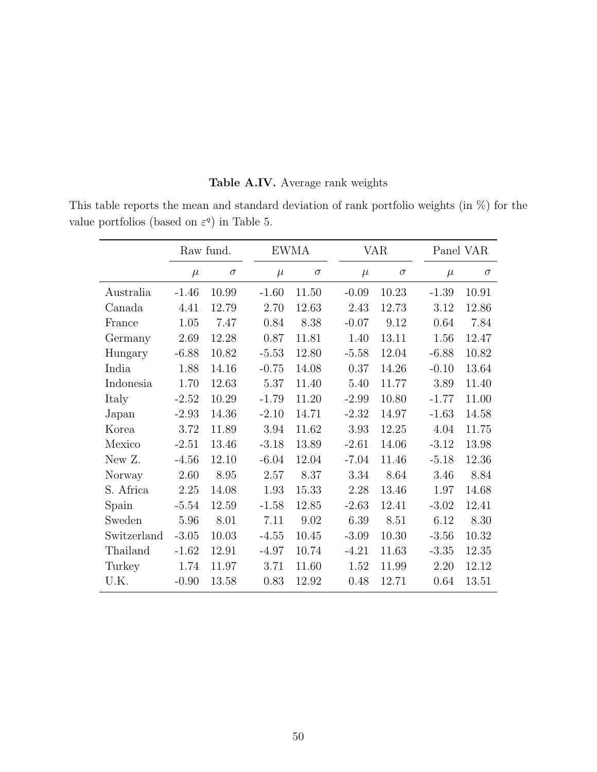|  |  | Table A.IV. Average rank weights |  |  |
|--|--|----------------------------------|--|--|
|--|--|----------------------------------|--|--|

<span id="page-51-0"></span>This table reports the mean and standard deviation of rank portfolio weights (in %) for the value portfolios (based on  $\varepsilon^q$ ) in Table [5.](#page-35-0)

|             |         | Raw fund. |         | <b>EWMA</b> |         | VAR      |         | Panel VAR |
|-------------|---------|-----------|---------|-------------|---------|----------|---------|-----------|
|             | $\mu$   | $\sigma$  | $\mu$   | $\sigma$    | $\mu$   | $\sigma$ | $\mu$   | $\sigma$  |
| Australia   | $-1.46$ | 10.99     | $-1.60$ | 11.50       | $-0.09$ | 10.23    | $-1.39$ | 10.91     |
| Canada      | 4.41    | 12.79     | 2.70    | 12.63       | 2.43    | 12.73    | 3.12    | 12.86     |
| France      | 1.05    | 7.47      | 0.84    | 8.38        | $-0.07$ | 9.12     | 0.64    | 7.84      |
| Germany     | 2.69    | 12.28     | 0.87    | 11.81       | 1.40    | 13.11    | 1.56    | 12.47     |
| Hungary     | $-6.88$ | 10.82     | $-5.53$ | 12.80       | $-5.58$ | 12.04    | $-6.88$ | 10.82     |
| India       | 1.88    | 14.16     | $-0.75$ | 14.08       | 0.37    | 14.26    | $-0.10$ | 13.64     |
| Indonesia   | 1.70    | 12.63     | 5.37    | 11.40       | 5.40    | 11.77    | 3.89    | 11.40     |
| Italy       | $-2.52$ | 10.29     | $-1.79$ | 11.20       | $-2.99$ | 10.80    | $-1.77$ | 11.00     |
| Japan       | $-2.93$ | 14.36     | $-2.10$ | 14.71       | $-2.32$ | 14.97    | $-1.63$ | 14.58     |
| Korea       | 3.72    | 11.89     | 3.94    | 11.62       | 3.93    | 12.25    | 4.04    | 11.75     |
| Mexico      | $-2.51$ | 13.46     | $-3.18$ | 13.89       | $-2.61$ | 14.06    | $-3.12$ | 13.98     |
| New Z.      | $-4.56$ | 12.10     | $-6.04$ | 12.04       | $-7.04$ | 11.46    | $-5.18$ | 12.36     |
| Norway      | 2.60    | 8.95      | 2.57    | 8.37        | 3.34    | 8.64     | 3.46    | 8.84      |
| S. Africa   | 2.25    | 14.08     | 1.93    | 15.33       | 2.28    | 13.46    | 1.97    | 14.68     |
| Spain       | $-5.54$ | 12.59     | $-1.58$ | 12.85       | $-2.63$ | 12.41    | $-3.02$ | 12.41     |
| Sweden      | 5.96    | 8.01      | 7.11    | 9.02        | 6.39    | 8.51     | 6.12    | 8.30      |
| Switzerland | $-3.05$ | 10.03     | $-4.55$ | 10.45       | $-3.09$ | 10.30    | $-3.56$ | 10.32     |
| Thailand    | $-1.62$ | 12.91     | $-4.97$ | 10.74       | $-4.21$ | 11.63    | $-3.35$ | 12.35     |
| Turkey      | 1.74    | 11.97     | 3.71    | 11.60       | 1.52    | 11.99    | 2.20    | 12.12     |
| U.K.        | $-0.90$ | 13.58     | 0.83    | 12.92       | 0.48    | 12.71    | 0.64    | 13.51     |